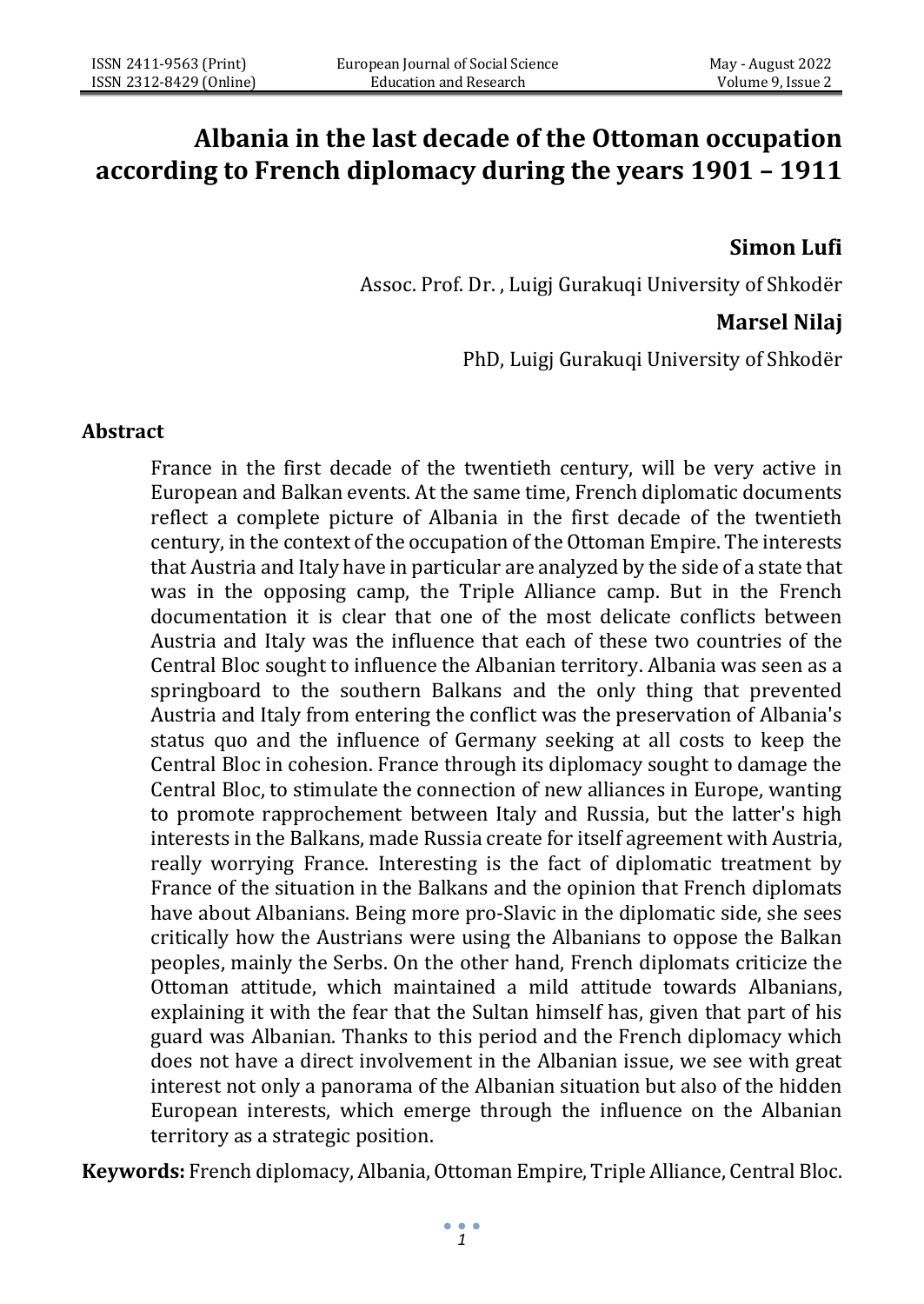# **Albania in the last decade of the Ottoman occupation according to French diplomacy during the years 1901 – 1911**

### **Simon Lufi**

Assoc. Prof. Dr. , Luigj Gurakuqi University of Shkodër

## **Marsel Nilaj**

PhD, Luigj Gurakuqi University of Shkodër

#### **Abstract**

France in the first decade of the twentieth century, will be very active in European and Balkan events. At the same time, French diplomatic documents reflect a complete picture of Albania in the first decade of the twentieth century, in the context of the occupation of the Ottoman Empire. The interests that Austria and Italy have in particular are analyzed by the side of a state that was in the opposing camp, the Triple Alliance camp. But in the French documentation it is clear that one of the most delicate conflicts between Austria and Italy was the influence that each of these two countries of the Central Bloc sought to influence the Albanian territory. Albania was seen as a springboard to the southern Balkans and the only thing that prevented Austria and Italy from entering the conflict was the preservation of Albania's status quo and the influence of Germany seeking at all costs to keep the Central Bloc in cohesion. France through its diplomacy sought to damage the Central Bloc, to stimulate the connection of new alliances in Europe, wanting to promote rapprochement between Italy and Russia, but the latter's high interests in the Balkans, made Russia create for itself agreement with Austria, really worrying France. Interesting is the fact of diplomatic treatment by France of the situation in the Balkans and the opinion that French diplomats have about Albanians. Being more pro-Slavic in the diplomatic side, she sees critically how the Austrians were using the Albanians to oppose the Balkan peoples, mainly the Serbs. On the other hand, French diplomats criticize the Ottoman attitude, which maintained a mild attitude towards Albanians, explaining it with the fear that the Sultan himself has, given that part of his guard was Albanian. Thanks to this period and the French diplomacy which does not have a direct involvement in the Albanian issue, we see with great interest not only a panorama of the Albanian situation but also of the hidden European interests, which emerge through the influence on the Albanian territory as a strategic position.

**Keywords:** French diplomacy, Albania, Ottoman Empire, Triple Alliance, Central Bloc.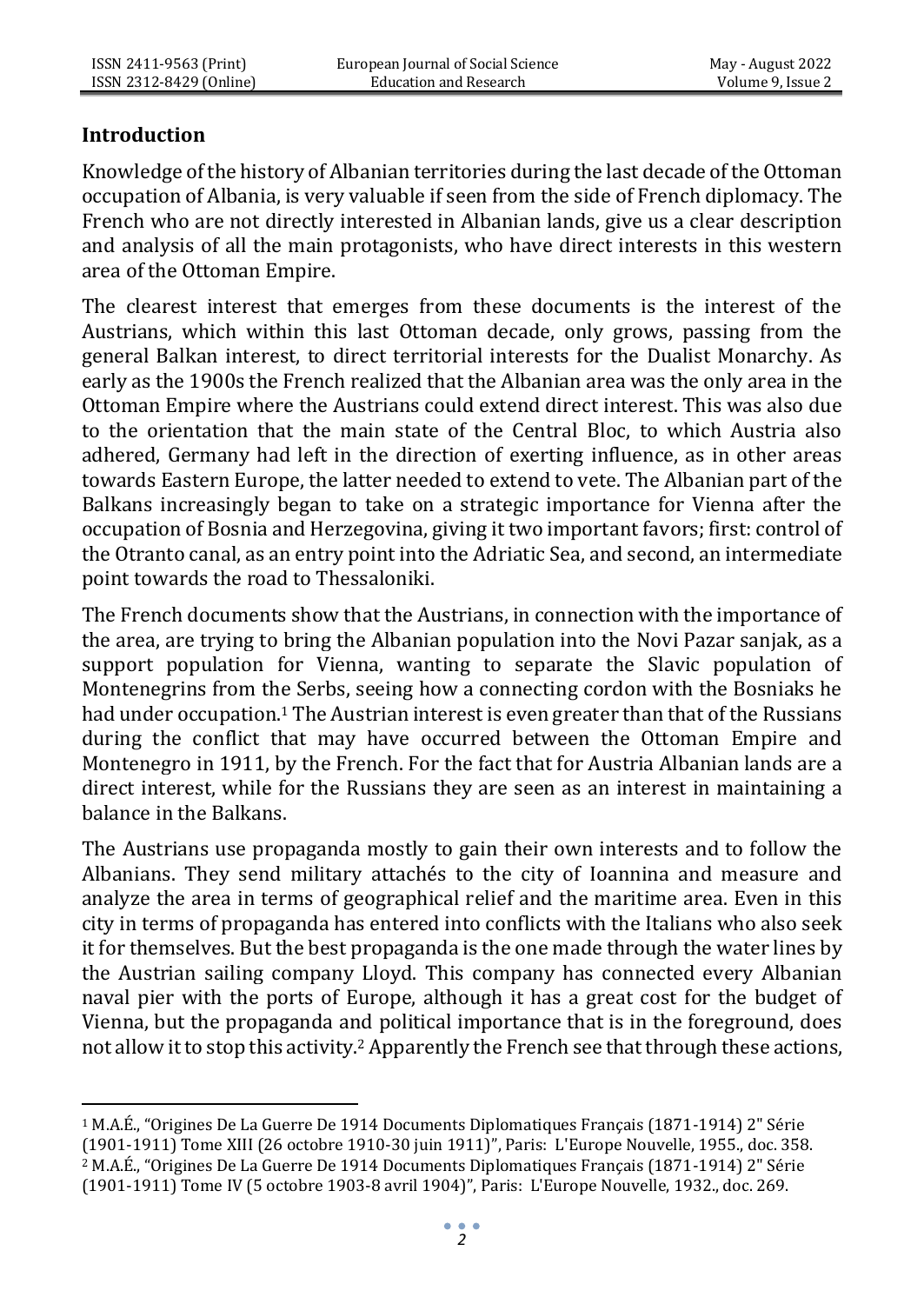### **Introduction**

Knowledge of the history of Albanian territories during the last decade of the Ottoman occupation of Albania, is very valuable if seen from the side of French diplomacy. The French who are not directly interested in Albanian lands, give us a clear description and analysis of all the main protagonists, who have direct interests in this western area of the Ottoman Empire.

The clearest interest that emerges from these documents is the interest of the Austrians, which within this last Ottoman decade, only grows, passing from the general Balkan interest, to direct territorial interests for the Dualist Monarchy. As early as the 1900s the French realized that the Albanian area was the only area in the Ottoman Empire where the Austrians could extend direct interest. This was also due to the orientation that the main state of the Central Bloc, to which Austria also adhered, Germany had left in the direction of exerting influence, as in other areas towards Eastern Europe, the latter needed to extend to vete. The Albanian part of the Balkans increasingly began to take on a strategic importance for Vienna after the occupation of Bosnia and Herzegovina, giving it two important favors; first: control of the Otranto canal, as an entry point into the Adriatic Sea, and second, an intermediate point towards the road to Thessaloniki.

The French documents show that the Austrians, in connection with the importance of the area, are trying to bring the Albanian population into the Novi Pazar sanjak, as a support population for Vienna, wanting to separate the Slavic population of Montenegrins from the Serbs, seeing how a connecting cordon with the Bosniaks he had under occupation.<sup>1</sup> The Austrian interest is even greater than that of the Russians during the conflict that may have occurred between the Ottoman Empire and Montenegro in 1911, by the French. For the fact that for Austria Albanian lands are a direct interest, while for the Russians they are seen as an interest in maintaining a balance in the Balkans.

The Austrians use propaganda mostly to gain their own interests and to follow the Albanians. They send military attachés to the city of Ioannina and measure and analyze the area in terms of geographical relief and the maritime area. Even in this city in terms of propaganda has entered into conflicts with the Italians who also seek it for themselves. But the best propaganda is the one made through the water lines by the Austrian sailing company Lloyd. This company has connected every Albanian naval pier with the ports of Europe, although it has a great cost for the budget of Vienna, but the propaganda and political importance that is in the foreground, does not allow it to stop this activity.<sup>2</sup> Apparently the French see that through these actions,

<sup>1</sup> M.A.É., "Origines De La Guerre De 1914 Documents Diplomatiques Français (1871-1914) 2" Série (1901-1911) Tome XII[I \(26 octobre 1910-30 juin 1911\)](https://bibliotheque-numerique.diplomatie.gouv.fr/ark%3A/12148/bpt6k64599117?rk=214593%3B2)", Paris: L'Europe Nouvelle, 1955., doc. 358. <sup>2</sup> M.A.É., "Origines De La Guerre De 1914 Documents Diplomatiques Français (1871-1914) 2" Série (1901-1911) Tome I[V \(5 octobre 1903-8 avril 1904\)](https://bibliotheque-numerique.diplomatie.gouv.fr/ark%3A/12148/bpt6k64434314?rk=300430%3B4)", Paris: L'Europe Nouvelle, 1932., doc. 269.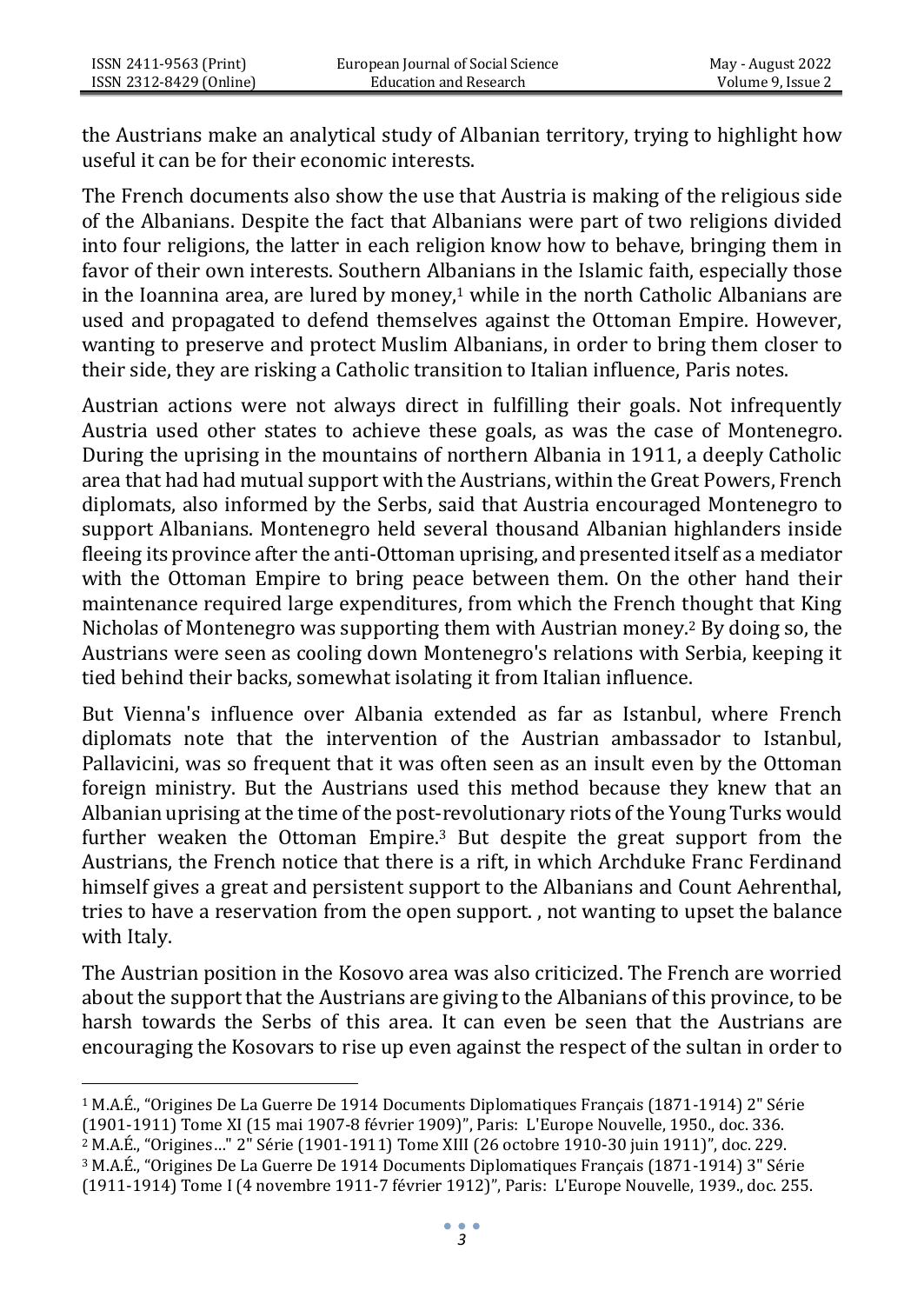the Austrians make an analytical study of Albanian territory, trying to highlight how useful it can be for their economic interests.

The French documents also show the use that Austria is making of the religious side of the Albanians. Despite the fact that Albanians were part of two religions divided into four religions, the latter in each religion know how to behave, bringing them in favor of their own interests. Southern Albanians in the Islamic faith, especially those in the Ioannina area, are lured by money, $1$  while in the north Catholic Albanians are used and propagated to defend themselves against the Ottoman Empire. However, wanting to preserve and protect Muslim Albanians, in order to bring them closer to their side, they are risking a Catholic transition to Italian influence, Paris notes.

Austrian actions were not always direct in fulfilling their goals. Not infrequently Austria used other states to achieve these goals, as was the case of Montenegro. During the uprising in the mountains of northern Albania in 1911, a deeply Catholic area that had had mutual support with the Austrians, within the Great Powers, French diplomats, also informed by the Serbs, said that Austria encouraged Montenegro to support Albanians. Montenegro held several thousand Albanian highlanders inside fleeing its province after the anti-Ottoman uprising, and presented itself as a mediator with the Ottoman Empire to bring peace between them. On the other hand their maintenance required large expenditures, from which the French thought that King Nicholas of Montenegro was supporting them with Austrian money.<sup>2</sup> By doing so, the Austrians were seen as cooling down Montenegro's relations with Serbia, keeping it tied behind their backs, somewhat isolating it from Italian influence.

But Vienna's influence over Albania extended as far as Istanbul, where French diplomats note that the intervention of the Austrian ambassador to Istanbul, Pallavicini, was so frequent that it was often seen as an insult even by the Ottoman foreign ministry. But the Austrians used this method because they knew that an Albanian uprising at the time of the post-revolutionary riots of the Young Turks would further weaken the Ottoman Empire.<sup>3</sup> But despite the great support from the Austrians, the French notice that there is a rift, in which Archduke Franc Ferdinand himself gives a great and persistent support to the Albanians and Count Aehrenthal, tries to have a reservation from the open support. , not wanting to upset the balance with Italy.

The Austrian position in the Kosovo area was also criticized. The French are worried about the support that the Austrians are giving to the Albanians of this province, to be harsh towards the Serbs of this area. It can even be seen that the Austrians are encouraging the Kosovars to rise up even against the respect of the sultan in order to

<sup>3</sup> M.A.É., "Origines De La Guerre De 1914 Documents Diplomatiques Français (1871-1914) 3" Série (1911-1914) Tome [I \(4 novembre 1911-7 février 1912\)](https://bibliotheque-numerique.diplomatie.gouv.fr/ark%3A/12148/bpt6k64626898?rk=278971%3B2)", Paris: L'Europe Nouvelle, 1939., doc. 255.

<sup>&</sup>lt;sup>1</sup> M.A.É., "Origines De La Guerre De 1914 Documents Diplomatiques Français (1871-1914) 2" Série

<sup>(1901-1911)</sup> Tome X[I \(15 mai 1907-8 février 1909\)](https://bibliotheque-numerique.diplomatie.gouv.fr/ark%3A/12148/bpt6k55869523?rk=171674%3B4)", Paris: L'Europe Nouvelle, 1950., doc. 336.

<sup>2</sup> M.A.É., "Origines…" 2" Série (1901-1911) Tome XIII [\(26 octobre 1910-30 juin 1911\)](https://bibliotheque-numerique.diplomatie.gouv.fr/ark%3A/12148/bpt6k64599117?rk=214593%3B2)", doc. 229.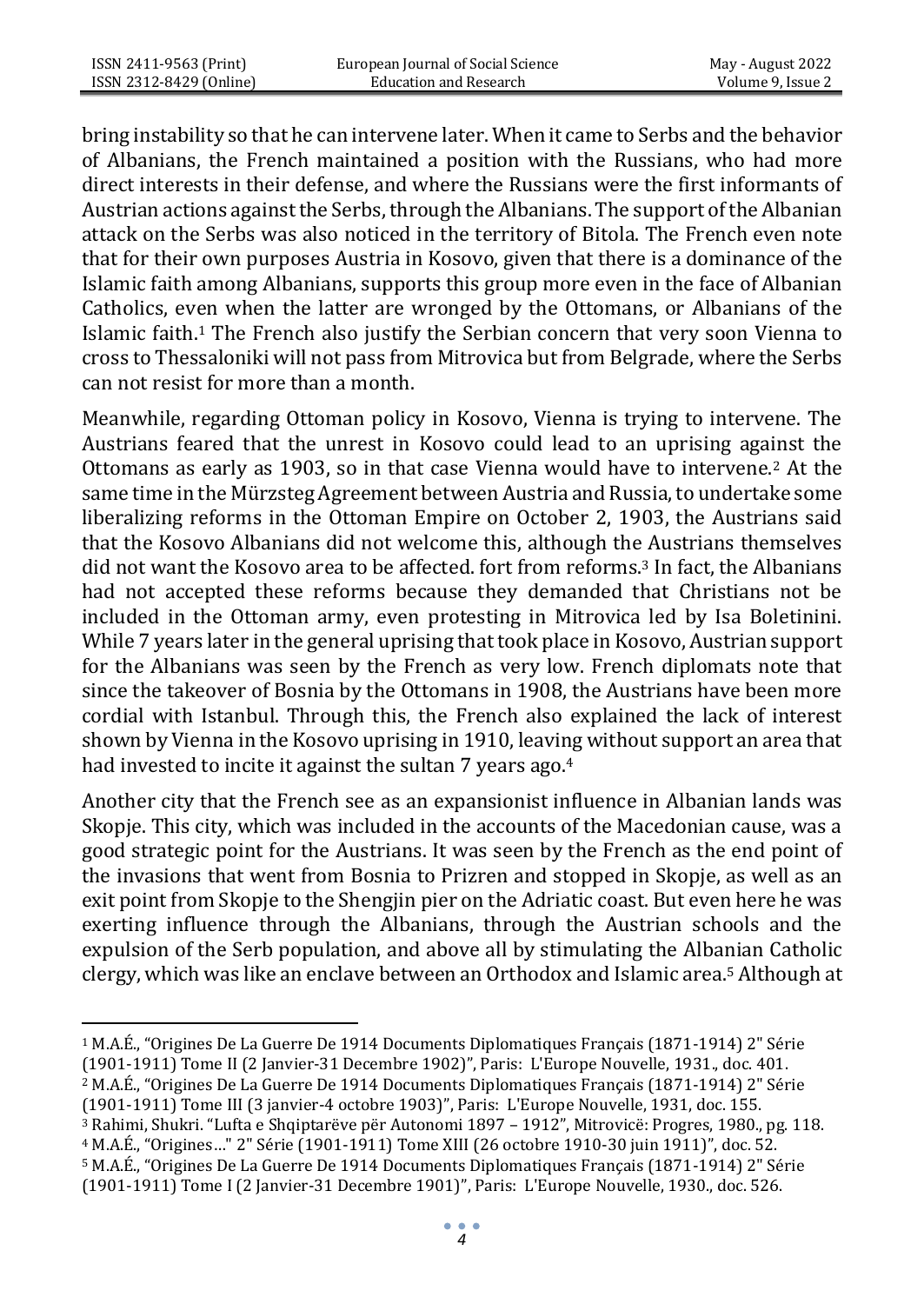bring instability so that he can intervene later. When it came to Serbs and the behavior of Albanians, the French maintained a position with the Russians, who had more direct interests in their defense, and where the Russians were the first informants of Austrian actions against the Serbs, through the Albanians. The support of the Albanian attack on the Serbs was also noticed in the territory of Bitola. The French even note that for their own purposes Austria in Kosovo, given that there is a dominance of the Islamic faith among Albanians, supports this group more even in the face of Albanian Catholics, even when the latter are wronged by the Ottomans, or Albanians of the Islamic faith.<sup>1</sup> The French also justify the Serbian concern that very soon Vienna to cross to Thessaloniki will not pass from Mitrovica but from Belgrade, where the Serbs can not resist for more than a month.

Meanwhile, regarding Ottoman policy in Kosovo, Vienna is trying to intervene. The Austrians feared that the unrest in Kosovo could lead to an uprising against the Ottomans as early as 1903, so in that case Vienna would have to intervene.<sup>2</sup> At the same time in the Mürzsteg Agreement between Austria and Russia, to undertake some liberalizing reforms in the Ottoman Empire on October 2, 1903, the Austrians said that the Kosovo Albanians did not welcome this, although the Austrians themselves did not want the Kosovo area to be affected. fort from reforms.<sup>3</sup> In fact, the Albanians had not accepted these reforms because they demanded that Christians not be included in the Ottoman army, even protesting in Mitrovica led by Isa Boletinini. While 7 years later in the general uprising that took place in Kosovo, Austrian support for the Albanians was seen by the French as very low. French diplomats note that since the takeover of Bosnia by the Ottomans in 1908, the Austrians have been more cordial with Istanbul. Through this, the French also explained the lack of interest shown by Vienna in the Kosovo uprising in 1910, leaving without support an area that had invested to incite it against the sultan 7 years ago.<sup>4</sup>

Another city that the French see as an expansionist influence in Albanian lands was Skopje. This city, which was included in the accounts of the Macedonian cause, was a good strategic point for the Austrians. It was seen by the French as the end point of the invasions that went from Bosnia to Prizren and stopped in Skopje, as well as an exit point from Skopje to the Shengjin pier on the Adriatic coast. But even here he was exerting influence through the Albanians, through the Austrian schools and the expulsion of the Serb population, and above all by stimulating the Albanian Catholic clergy, which was like an enclave between an Orthodox and Islamic area.<sup>5</sup> Although at

- <sup>2</sup> M.A.É., "Origines De La Guerre De 1914 Documents Diplomatiques Français (1871-1914) 2" Série
- (1901-1911) Tome II[I \(3 janvier-4 octobre 1903\)](https://bibliotheque-numerique.diplomatie.gouv.fr/ark%3A/12148/bpt6k55866826?rk=278971%3B2)", Paris: L'Europe Nouvelle, 1931, doc. 155.
- <sup>3</sup> Rahimi, Shukri. "Lufta e Shqiptarëve për Autonomi 1897 1912", Mitrovicë: Progres, 1980., pg. 118.
- <sup>4</sup> M.A.É., "Origines…" 2" Série (1901-1911) Tome XIII [\(26 octobre 1910-30 juin 1911\)](https://bibliotheque-numerique.diplomatie.gouv.fr/ark%3A/12148/bpt6k64599117?rk=214593%3B2)", doc. 52.
- <sup>5</sup> M.A.É., "Origines De La Guerre De 1914 Documents Diplomatiques Français (1871-1914) 2" Série (1901-1911) Tome I (2 Janvier-31 Decembre 1901)", Paris: L'Europe Nouvelle, 1930., doc. 526.

<sup>1</sup> M.A.É., "Origines De La Guerre De 1914 Documents Diplomatiques Français (1871-1914) 2" Série (1901-1911) Tome II (2 Janvier-31 Decembre 1902)", Paris: L'Europe Nouvelle, 1931., doc. 401.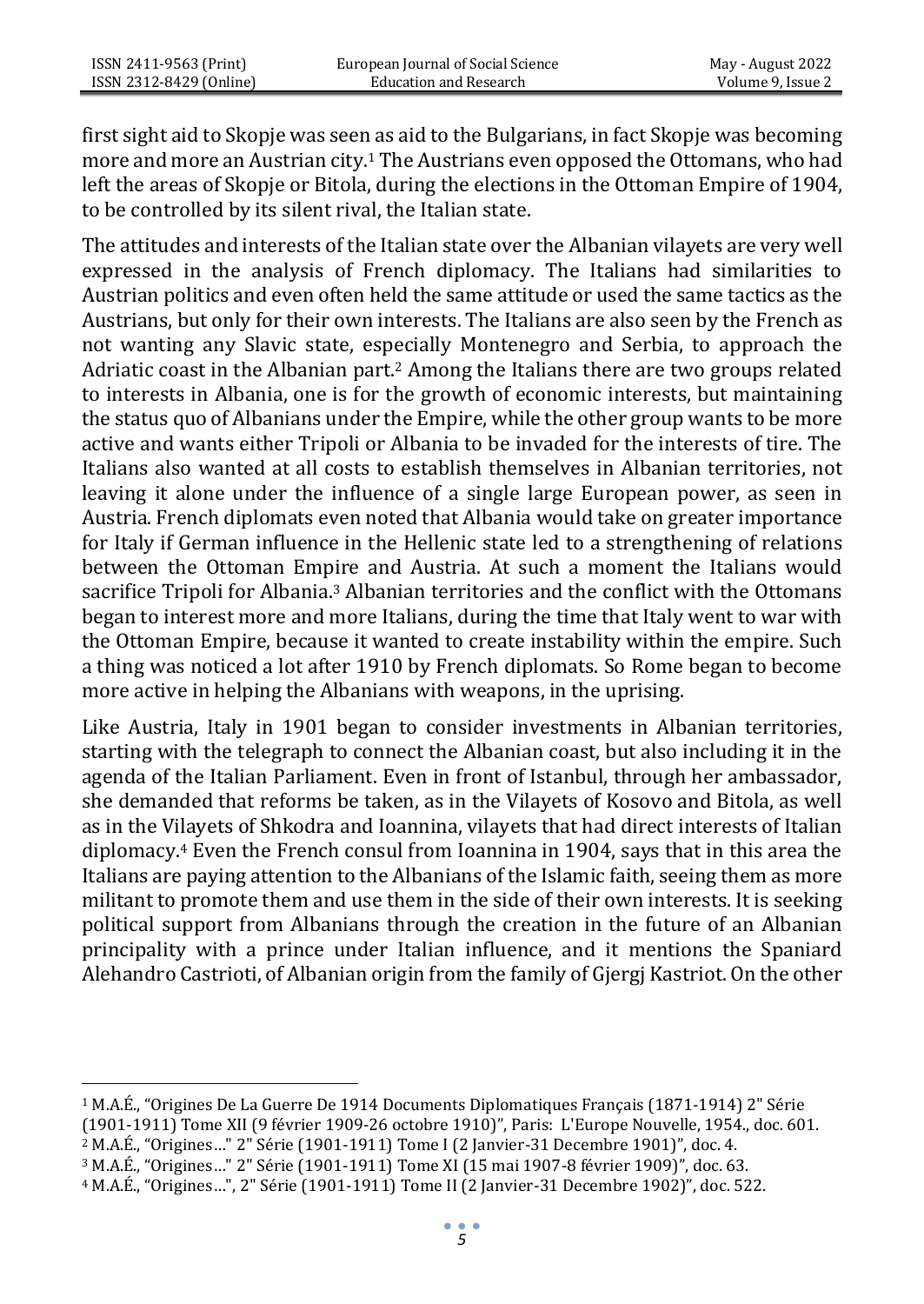first sight aid to Skopje was seen as aid to the Bulgarians, in fact Skopje was becoming more and more an Austrian city.<sup>1</sup> The Austrians even opposed the Ottomans, who had left the areas of Skopje or Bitola, during the elections in the Ottoman Empire of 1904, to be controlled by its silent rival, the Italian state.

The attitudes and interests of the Italian state over the Albanian vilayets are very well expressed in the analysis of French diplomacy. The Italians had similarities to Austrian politics and even often held the same attitude or used the same tactics as the Austrians, but only for their own interests. The Italians are also seen by the French as not wanting any Slavic state, especially Montenegro and Serbia, to approach the Adriatic coast in the Albanian part.<sup>2</sup> Among the Italians there are two groups related to interests in Albania, one is for the growth of economic interests, but maintaining the status quo of Albanians under the Empire, while the other group wants to be more active and wants either Tripoli or Albania to be invaded for the interests of tire. The Italians also wanted at all costs to establish themselves in Albanian territories, not leaving it alone under the influence of a single large European power, as seen in Austria. French diplomats even noted that Albania would take on greater importance for Italy if German influence in the Hellenic state led to a strengthening of relations between the Ottoman Empire and Austria. At such a moment the Italians would sacrifice Tripoli for Albania.<sup>3</sup> Albanian territories and the conflict with the Ottomans began to interest more and more Italians, during the time that Italy went to war with the Ottoman Empire, because it wanted to create instability within the empire. Such a thing was noticed a lot after 1910 by French diplomats. So Rome began to become more active in helping the Albanians with weapons, in the uprising.

Like Austria, Italy in 1901 began to consider investments in Albanian territories, starting with the telegraph to connect the Albanian coast, but also including it in the agenda of the Italian Parliament. Even in front of Istanbul, through her ambassador, she demanded that reforms be taken, as in the Vilayets of Kosovo and Bitola, as well as in the Vilayets of Shkodra and Ioannina, vilayets that had direct interests of Italian diplomacy.<sup>4</sup> Even the French consul from Ioannina in 1904, says that in this area the Italians are paying attention to the Albanians of the Islamic faith, seeing them as more militant to promote them and use them in the side of their own interests. It is seeking political support from Albanians through the creation in the future of an Albanian principality with a prince under Italian influence, and it mentions the Spaniard Alehandro Castrioti, of Albanian origin from the family of Gjergj Kastriot. On the other

<sup>1</sup> M.A.É., "Origines De La Guerre De 1914 Documents Diplomatiques Français (1871-1914) 2" Série

<sup>(1901-1911)</sup> Tome XI[I \(9 février 1909-26 octobre 1910\)](https://bibliotheque-numerique.diplomatie.gouv.fr/ark%3A/12148/bpt6k6442306d?rk=193134%3B0)", Paris: L'Europe Nouvelle, 1954., doc. 601.

<sup>2</sup> M.A.É., "Origines…" 2" Série (1901-1911) Tome I (2 Janvier-31 Decembre 1901)", doc. 4.

<sup>3</sup> M.A.É., "Origines…" 2" Série (1901-1911) Tome X[I \(15 mai 1907-8 février 1909\)](https://bibliotheque-numerique.diplomatie.gouv.fr/ark%3A/12148/bpt6k55869523?rk=171674%3B4)", doc. 63.

<sup>4</sup> M.A.É., "Origines…", 2" Série (1901-1911) Tome II (2 Janvier-31 Decembre 1902)", doc. 522.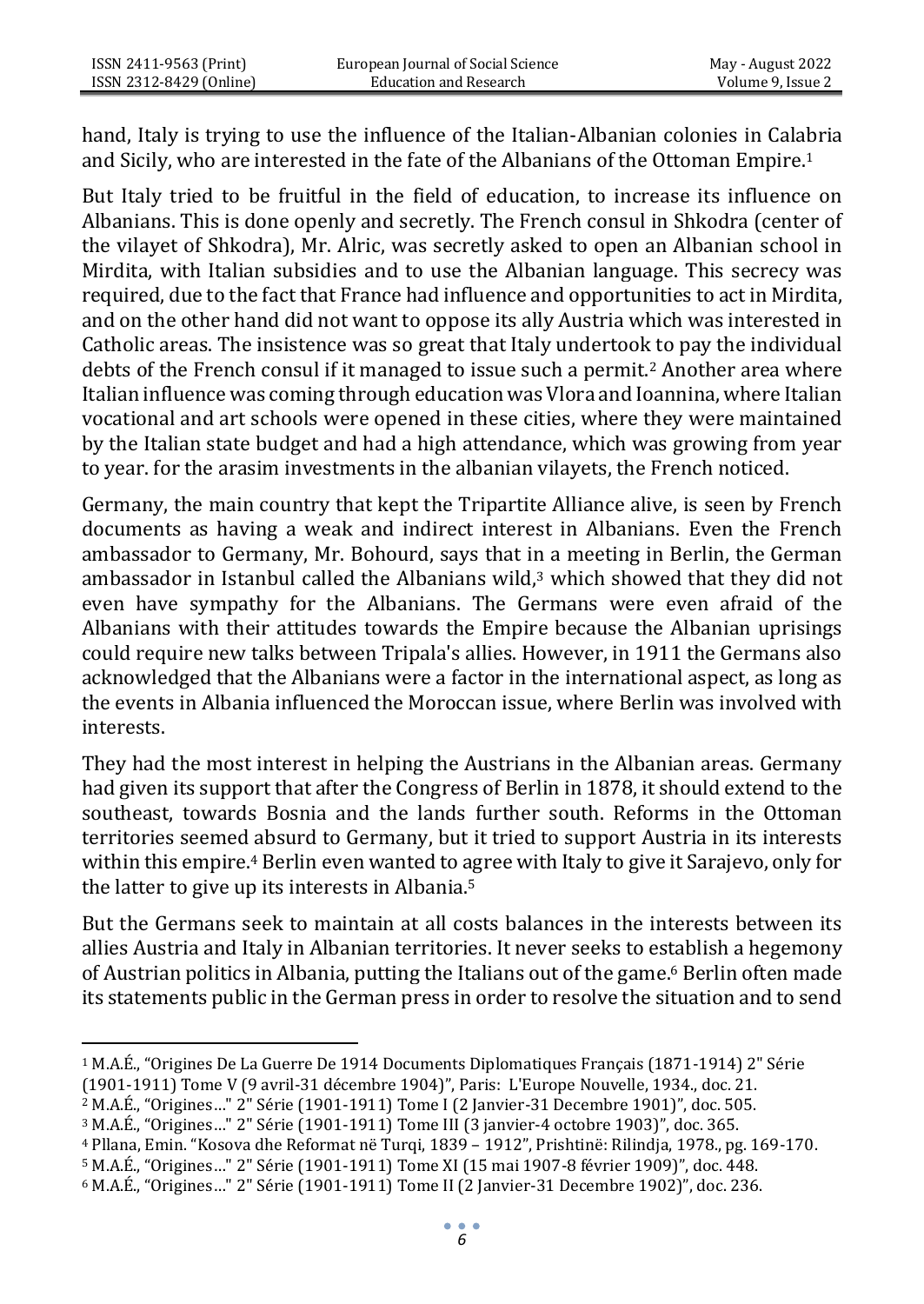hand, Italy is trying to use the influence of the Italian-Albanian colonies in Calabria and Sicily, who are interested in the fate of the Albanians of the Ottoman Empire.<sup>1</sup>

But Italy tried to be fruitful in the field of education, to increase its influence on Albanians. This is done openly and secretly. The French consul in Shkodra (center of the vilayet of Shkodra), Mr. Alric, was secretly asked to open an Albanian school in Mirdita, with Italian subsidies and to use the Albanian language. This secrecy was required, due to the fact that France had influence and opportunities to act in Mirdita, and on the other hand did not want to oppose its ally Austria which was interested in Catholic areas. The insistence was so great that Italy undertook to pay the individual debts of the French consul if it managed to issue such a permit.<sup>2</sup> Another area where Italian influence was coming through education was Vlora and Ioannina, where Italian vocational and art schools were opened in these cities, where they were maintained by the Italian state budget and had a high attendance, which was growing from year to year. for the arasim investments in the albanian vilayets, the French noticed.

Germany, the main country that kept the Tripartite Alliance alive, is seen by French documents as having a weak and indirect interest in Albanians. Even the French ambassador to Germany, Mr. Bohourd, says that in a meeting in Berlin, the German ambassador in Istanbul called the Albanians wild.<sup>3</sup> which showed that they did not even have sympathy for the Albanians. The Germans were even afraid of the Albanians with their attitudes towards the Empire because the Albanian uprisings could require new talks between Tripala's allies. However, in 1911 the Germans also acknowledged that the Albanians were a factor in the international aspect, as long as the events in Albania influenced the Moroccan issue, where Berlin was involved with interests.

They had the most interest in helping the Austrians in the Albanian areas. Germany had given its support that after the Congress of Berlin in 1878, it should extend to the southeast, towards Bosnia and the lands further south. Reforms in the Ottoman territories seemed absurd to Germany, but it tried to support Austria in its interests within this empire.<sup>4</sup> Berlin even wanted to agree with Italy to give it Sarajevo, only for the latter to give up its interests in Albania.<sup>5</sup>

But the Germans seek to maintain at all costs balances in the interests between its allies Austria and Italy in Albanian territories. It never seeks to establish a hegemony of Austrian politics in Albania, putting the Italians out of the game.<sup>6</sup> Berlin often made its statements public in the German press in order to resolve the situation and to send

<sup>1</sup> M.A.É., "Origines De La Guerre De 1914 Documents Diplomatiques Français (1871-1914) 2" Série

<sup>(1901-1911)</sup> Tome [V \(9 avril-31 décembre 1904\)](https://bibliotheque-numerique.diplomatie.gouv.fr/ark%3A/12148/bpt6k6462682c?rk=321890%3B0)", Paris: L'Europe Nouvelle, 1934., doc. 21.

<sup>2</sup> M.A.É., "Origines…" 2" Série (1901-1911) Tome I (2 Janvier-31 Decembre 1901)", doc. 505.

<sup>3</sup> M.A.É., "Origines…" 2" Série (1901-1911) Tome II[I \(3 janvier-4 octobre 1903\)](https://bibliotheque-numerique.diplomatie.gouv.fr/ark%3A/12148/bpt6k55866826?rk=278971%3B2)", doc. 365.

<sup>4</sup> Pllana, Emin. "Kosova dhe Reformat në Turqi, 1839 – 1912", Prishtinë: Rilindja, 1978., pg. 169-170.

<sup>5</sup> M.A.É., "Origines…" 2" Série (1901-1911) Tome X[I \(15 mai 1907-8 février 1909\)](https://bibliotheque-numerique.diplomatie.gouv.fr/ark%3A/12148/bpt6k55869523?rk=171674%3B4)", doc. 448.

<sup>6</sup> M.A.É., "Origines…" 2" Série (1901-1911) Tome II (2 Janvier-31 Decembre 1902)", doc. 236.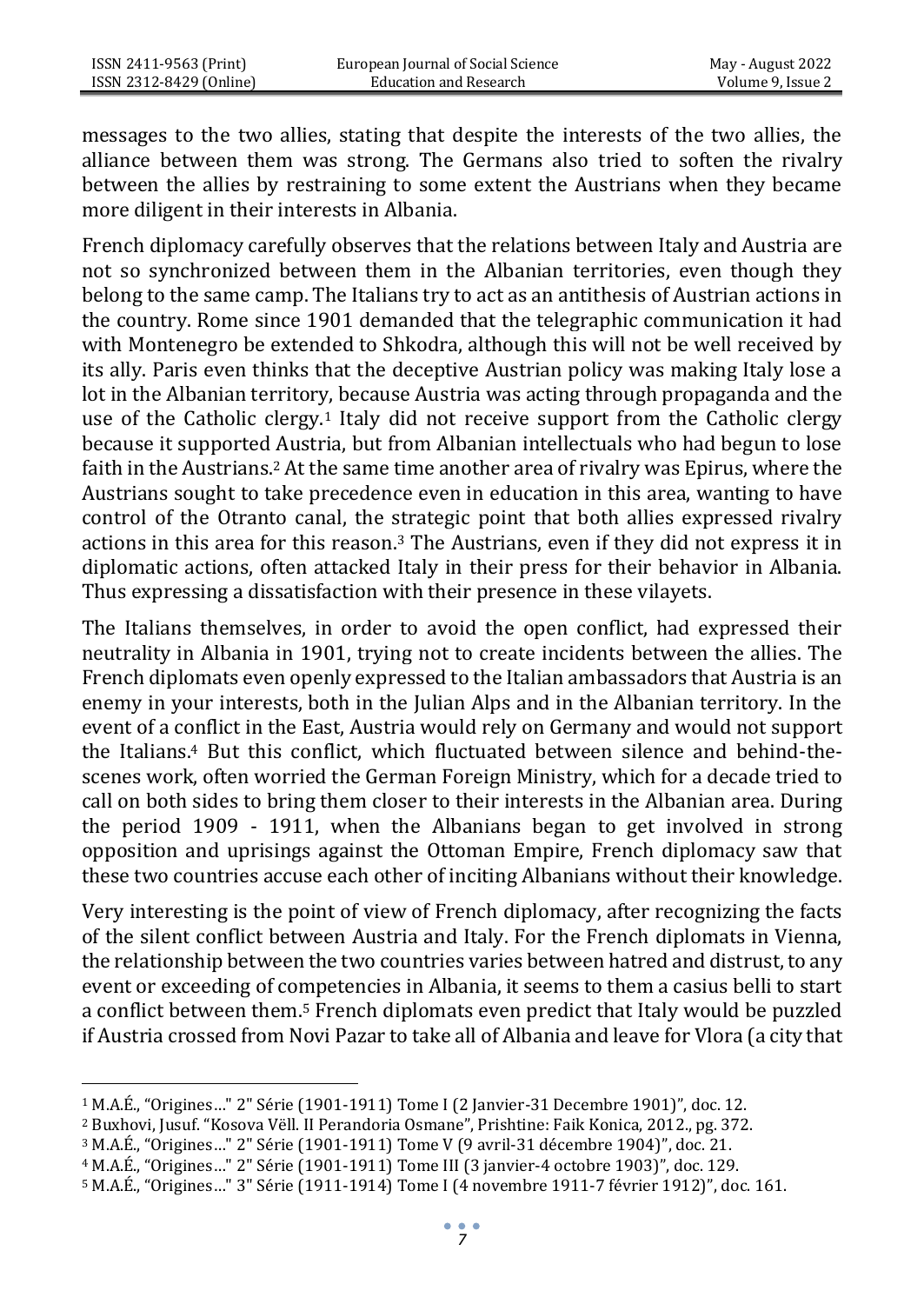messages to the two allies, stating that despite the interests of the two allies, the alliance between them was strong. The Germans also tried to soften the rivalry between the allies by restraining to some extent the Austrians when they became more diligent in their interests in Albania.

French diplomacy carefully observes that the relations between Italy and Austria are not so synchronized between them in the Albanian territories, even though they belong to the same camp. The Italians try to act as an antithesis of Austrian actions in the country. Rome since 1901 demanded that the telegraphic communication it had with Montenegro be extended to Shkodra, although this will not be well received by its ally. Paris even thinks that the deceptive Austrian policy was making Italy lose a lot in the Albanian territory, because Austria was acting through propaganda and the use of the Catholic clergy.<sup>1</sup> Italy did not receive support from the Catholic clergy because it supported Austria, but from Albanian intellectuals who had begun to lose faith in the Austrians.<sup>2</sup> At the same time another area of rivalry was Epirus, where the Austrians sought to take precedence even in education in this area, wanting to have control of the Otranto canal, the strategic point that both allies expressed rivalry actions in this area for this reason.<sup>3</sup> The Austrians, even if they did not express it in diplomatic actions, often attacked Italy in their press for their behavior in Albania. Thus expressing a dissatisfaction with their presence in these vilayets.

The Italians themselves, in order to avoid the open conflict, had expressed their neutrality in Albania in 1901, trying not to create incidents between the allies. The French diplomats even openly expressed to the Italian ambassadors that Austria is an enemy in your interests, both in the Julian Alps and in the Albanian territory. In the event of a conflict in the East, Austria would rely on Germany and would not support the Italians.<sup>4</sup> But this conflict, which fluctuated between silence and behind-thescenes work, often worried the German Foreign Ministry, which for a decade tried to call on both sides to bring them closer to their interests in the Albanian area. During the period 1909 - 1911, when the Albanians began to get involved in strong opposition and uprisings against the Ottoman Empire, French diplomacy saw that these two countries accuse each other of inciting Albanians without their knowledge.

Very interesting is the point of view of French diplomacy, after recognizing the facts of the silent conflict between Austria and Italy. For the French diplomats in Vienna, the relationship between the two countries varies between hatred and distrust, to any event or exceeding of competencies in Albania, it seems to them a casius belli to start a conflict between them.<sup>5</sup> French diplomats even predict that Italy would be puzzled if Austria crossed from Novi Pazar to take all of Albania and leave for Vlora (a city that

<sup>4</sup> M.A.É., "Origines…" 2" Série (1901-1911) Tome II[I \(3 janvier-4 octobre 1903\)](https://bibliotheque-numerique.diplomatie.gouv.fr/ark%3A/12148/bpt6k55866826?rk=278971%3B2)", doc. 129.

<sup>1</sup> M.A.É., "Origines…" 2" Série (1901-1911) Tome I (2 Janvier-31 Decembre 1901)", doc. 12.

<sup>2</sup> Buxhovi, Jusuf. "Kosova Vëll. II Perandoria Osmane", Prishtine: Faik Konica, 2012., pg. 372.

<sup>3</sup> M.A.É., "Origines…" 2" Série (1901-1911) Tome [V \(9 avril-31 décembre 1904\)](https://bibliotheque-numerique.diplomatie.gouv.fr/ark%3A/12148/bpt6k6462682c?rk=321890%3B0)", doc. 21.

<sup>5</sup> M.A.É., "Origines…" 3" Série (1911-1914) Tome [I \(4 novembre 1911-7 février 1912\)](https://bibliotheque-numerique.diplomatie.gouv.fr/ark%3A/12148/bpt6k64626898?rk=278971%3B2)", doc. 161.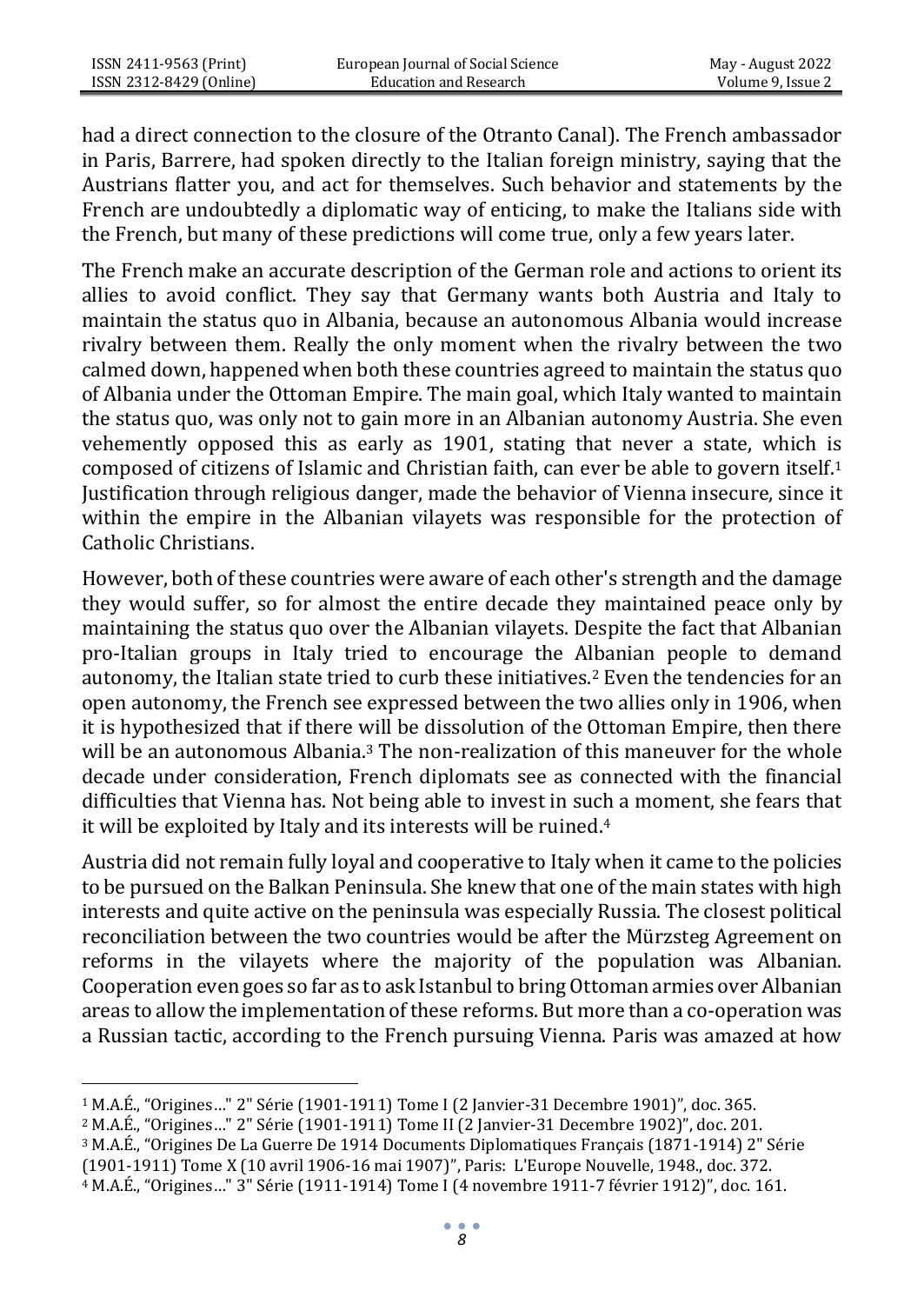had a direct connection to the closure of the Otranto Canal). The French ambassador in Paris, Barrere, had spoken directly to the Italian foreign ministry, saying that the Austrians flatter you, and act for themselves. Such behavior and statements by the French are undoubtedly a diplomatic way of enticing, to make the Italians side with the French, but many of these predictions will come true, only a few years later.

The French make an accurate description of the German role and actions to orient its allies to avoid conflict. They say that Germany wants both Austria and Italy to maintain the status quo in Albania, because an autonomous Albania would increase rivalry between them. Really the only moment when the rivalry between the two calmed down, happened when both these countries agreed to maintain the status quo of Albania under the Ottoman Empire. The main goal, which Italy wanted to maintain the status quo, was only not to gain more in an Albanian autonomy Austria. She even vehemently opposed this as early as 1901, stating that never a state, which is composed of citizens of Islamic and Christian faith, can ever be able to govern itself.<sup>1</sup> Justification through religious danger, made the behavior of Vienna insecure, since it within the empire in the Albanian vilayets was responsible for the protection of Catholic Christians.

However, both of these countries were aware of each other's strength and the damage they would suffer, so for almost the entire decade they maintained peace only by maintaining the status quo over the Albanian vilayets. Despite the fact that Albanian pro-Italian groups in Italy tried to encourage the Albanian people to demand autonomy, the Italian state tried to curb these initiatives.<sup>2</sup> Even the tendencies for an open autonomy, the French see expressed between the two allies only in 1906, when it is hypothesized that if there will be dissolution of the Ottoman Empire, then there will be an autonomous Albania.<sup>3</sup> The non-realization of this maneuver for the whole decade under consideration, French diplomats see as connected with the financial difficulties that Vienna has. Not being able to invest in such a moment, she fears that it will be exploited by Italy and its interests will be ruined.<sup>4</sup>

Austria did not remain fully loyal and cooperative to Italy when it came to the policies to be pursued on the Balkan Peninsula. She knew that one of the main states with high interests and quite active on the peninsula was especially Russia. The closest political reconciliation between the two countries would be after the Mürzsteg Agreement on reforms in the vilayets where the majority of the population was Albanian. Cooperation even goes so far as to ask Istanbul to bring Ottoman armies over Albanian areas to allow the implementation of these reforms. But more than a co-operation was a Russian tactic, according to the French pursuing Vienna. Paris was amazed at how

<sup>1</sup> M.A.É., "Origines…" 2" Série (1901-1911) Tome I (2 Janvier-31 Decembre 1901)", doc. 365.

<sup>2</sup> M.A.É., "Origines…" 2" Série (1901-1911) Tome II (2 Janvier-31 Decembre 1902)", doc. 201.

<sup>3</sup> M.A.É., "Origines De La Guerre De 1914 Documents Diplomatiques Français (1871-1914) 2" Série

<sup>(1901-1911)</sup> Tome [X \(10 avril 1906-16 mai 1907\)](https://bibliotheque-numerique.diplomatie.gouv.fr/ark%3A/12148/bpt6k6459921m?rk=150215%3B2)", Paris: L'Europe Nouvelle, 1948., doc. 372.

<sup>4</sup> M.A.É., "Origines…" 3" Série (1911-1914) Tome [I \(4 novembre 1911-7 février 1912\)](https://bibliotheque-numerique.diplomatie.gouv.fr/ark%3A/12148/bpt6k64626898?rk=278971%3B2)", doc. 161.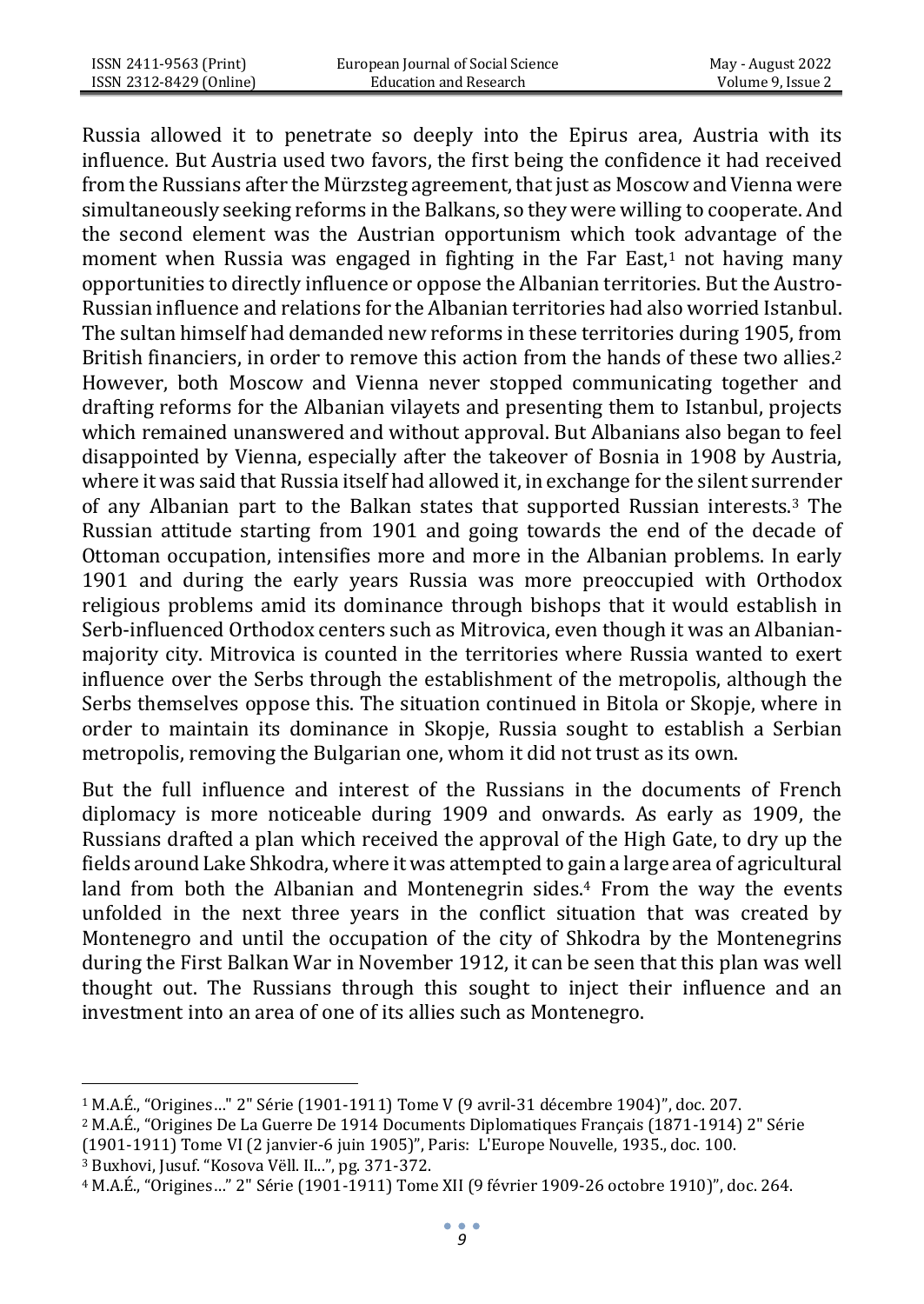Russia allowed it to penetrate so deeply into the Epirus area, Austria with its influence. But Austria used two favors, the first being the confidence it had received from the Russians after the Mürzsteg agreement, that just as Moscow and Vienna were simultaneously seeking reforms in the Balkans, so they were willing to cooperate. And the second element was the Austrian opportunism which took advantage of the moment when Russia was engaged in fighting in the Far East, $1$  not having many opportunities to directly influence or oppose the Albanian territories. But the Austro-Russian influence and relations for the Albanian territories had also worried Istanbul. The sultan himself had demanded new reforms in these territories during 1905, from British financiers, in order to remove this action from the hands of these two allies.<sup>2</sup> However, both Moscow and Vienna never stopped communicating together and drafting reforms for the Albanian vilayets and presenting them to Istanbul, projects which remained unanswered and without approval. But Albanians also began to feel disappointed by Vienna, especially after the takeover of Bosnia in 1908 by Austria, where it was said that Russia itself had allowed it, in exchange for the silent surrender of any Albanian part to the Balkan states that supported Russian interests.<sup>3</sup> The Russian attitude starting from 1901 and going towards the end of the decade of Ottoman occupation, intensifies more and more in the Albanian problems. In early 1901 and during the early years Russia was more preoccupied with Orthodox religious problems amid its dominance through bishops that it would establish in Serb-influenced Orthodox centers such as Mitrovica, even though it was an Albanianmajority city. Mitrovica is counted in the territories where Russia wanted to exert influence over the Serbs through the establishment of the metropolis, although the Serbs themselves oppose this. The situation continued in Bitola or Skopje, where in order to maintain its dominance in Skopje, Russia sought to establish a Serbian metropolis, removing the Bulgarian one, whom it did not trust as its own.

But the full influence and interest of the Russians in the documents of French diplomacy is more noticeable during 1909 and onwards. As early as 1909, the Russians drafted a plan which received the approval of the High Gate, to dry up the fields around Lake Shkodra, where it was attempted to gain a large area of agricultural land from both the Albanian and Montenegrin sides.<sup>4</sup> From the way the events unfolded in the next three years in the conflict situation that was created by Montenegro and until the occupation of the city of Shkodra by the Montenegrins during the First Balkan War in November 1912, it can be seen that this plan was well thought out. The Russians through this sought to inject their influence and an investment into an area of one of its allies such as Montenegro.

<sup>1</sup> M.A.É., "Origines…" 2" Série (1901-1911) Tome [V \(9 avril-31 décembre 1904\)](https://bibliotheque-numerique.diplomatie.gouv.fr/ark%3A/12148/bpt6k6462682c?rk=321890%3B0)", doc. 207.

<sup>2</sup> M.A.É., "Origines De La Guerre De 1914 Documents Diplomatiques Français (1871-1914) 2" Série (1901-1911) Tome V[I \(2 janvier-6 juin 1905\)](https://bibliotheque-numerique.diplomatie.gouv.fr/ark%3A/12148/bpt6k65674545?rk=343349%3B2)", Paris: L'Europe Nouvelle, 1935., doc. 100.

<sup>3</sup> Buxhovi, Jusuf. "Kosova Vëll. II...", pg. 371-372.

<sup>4</sup> M.A.É., "Origines…" 2" Série (1901-1911) Tome XII [\(9 février 1909-26 octobre 1910\)](https://bibliotheque-numerique.diplomatie.gouv.fr/ark%3A/12148/bpt6k6442306d?rk=193134%3B0)", doc. 264.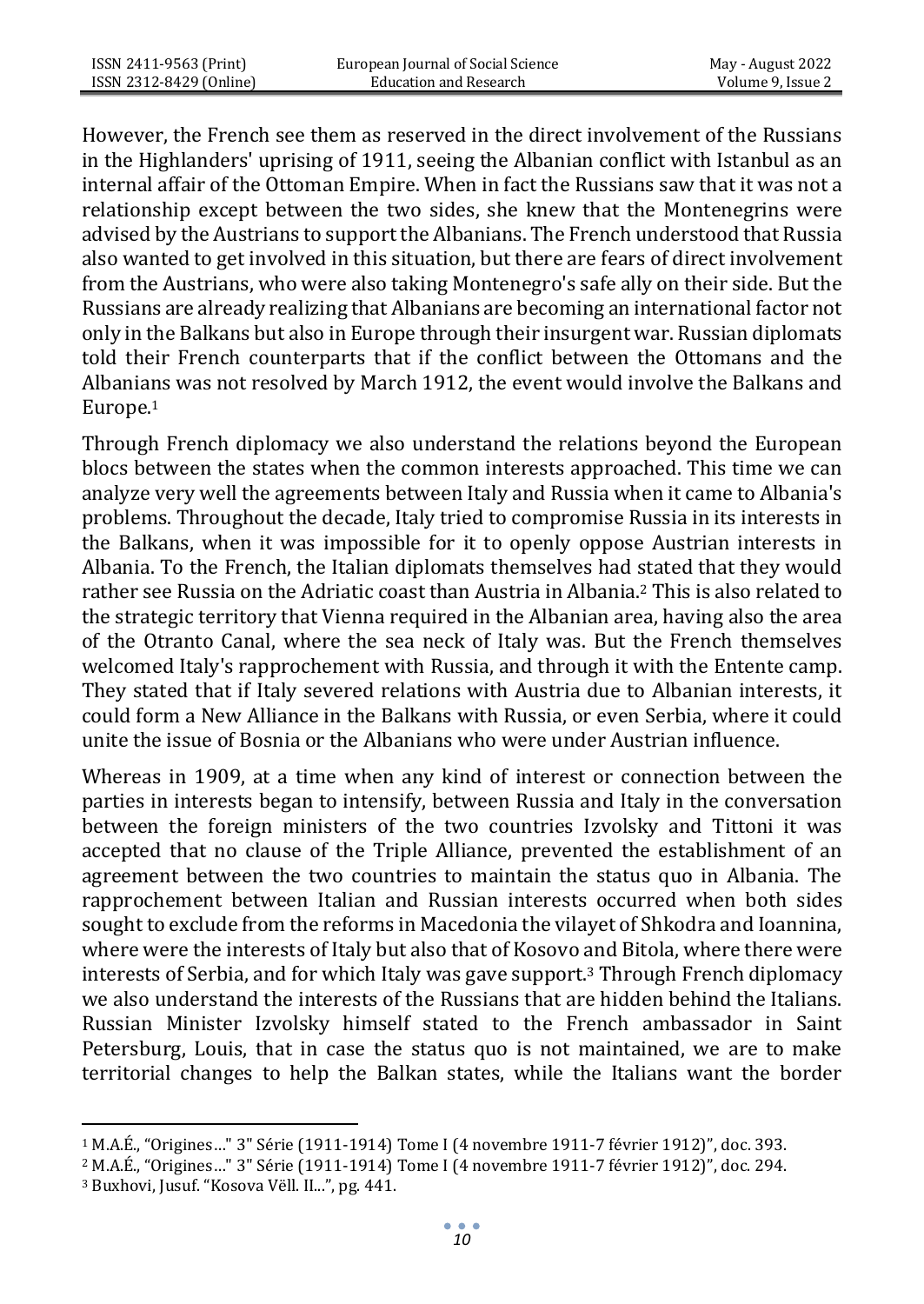However, the French see them as reserved in the direct involvement of the Russians in the Highlanders' uprising of 1911, seeing the Albanian conflict with Istanbul as an internal affair of the Ottoman Empire. When in fact the Russians saw that it was not a relationship except between the two sides, she knew that the Montenegrins were advised by the Austrians to support the Albanians. The French understood that Russia also wanted to get involved in this situation, but there are fears of direct involvement from the Austrians, who were also taking Montenegro's safe ally on their side. But the Russians are already realizing that Albanians are becoming an international factor not only in the Balkans but also in Europe through their insurgent war. Russian diplomats told their French counterparts that if the conflict between the Ottomans and the Albanians was not resolved by March 1912, the event would involve the Balkans and Europe.<sup>1</sup>

Through French diplomacy we also understand the relations beyond the European blocs between the states when the common interests approached. This time we can analyze very well the agreements between Italy and Russia when it came to Albania's problems. Throughout the decade, Italy tried to compromise Russia in its interests in the Balkans, when it was impossible for it to openly oppose Austrian interests in Albania. To the French, the Italian diplomats themselves had stated that they would rather see Russia on the Adriatic coast than Austria in Albania.<sup>2</sup> This is also related to the strategic territory that Vienna required in the Albanian area, having also the area of the Otranto Canal, where the sea neck of Italy was. But the French themselves welcomed Italy's rapprochement with Russia, and through it with the Entente camp. They stated that if Italy severed relations with Austria due to Albanian interests, it could form a New Alliance in the Balkans with Russia, or even Serbia, where it could unite the issue of Bosnia or the Albanians who were under Austrian influence.

Whereas in 1909, at a time when any kind of interest or connection between the parties in interests began to intensify, between Russia and Italy in the conversation between the foreign ministers of the two countries Izvolsky and Tittoni it was accepted that no clause of the Triple Alliance, prevented the establishment of an agreement between the two countries to maintain the status quo in Albania. The rapprochement between Italian and Russian interests occurred when both sides sought to exclude from the reforms in Macedonia the vilayet of Shkodra and Ioannina, where were the interests of Italy but also that of Kosovo and Bitola, where there were interests of Serbia, and for which Italy was gave support.<sup>3</sup> Through French diplomacy we also understand the interests of the Russians that are hidden behind the Italians. Russian Minister Izvolsky himself stated to the French ambassador in Saint Petersburg, Louis, that in case the status quo is not maintained, we are to make territorial changes to help the Balkan states, while the Italians want the border

<sup>1</sup> M.A.É., "Origines…" 3" Série (1911-1914) Tome [I \(4 novembre 1911-7 février 1912\)](https://bibliotheque-numerique.diplomatie.gouv.fr/ark%3A/12148/bpt6k64626898?rk=278971%3B2)", doc. 393.

<sup>2</sup> M.A.É., "Origines…" 3" Série (1911-1914) Tome [I \(4 novembre 1911-7 février 1912\)](https://bibliotheque-numerique.diplomatie.gouv.fr/ark%3A/12148/bpt6k64626898?rk=278971%3B2)", doc. 294.

<sup>3</sup> Buxhovi, Jusuf. "Kosova Vëll. II...", pg. 441.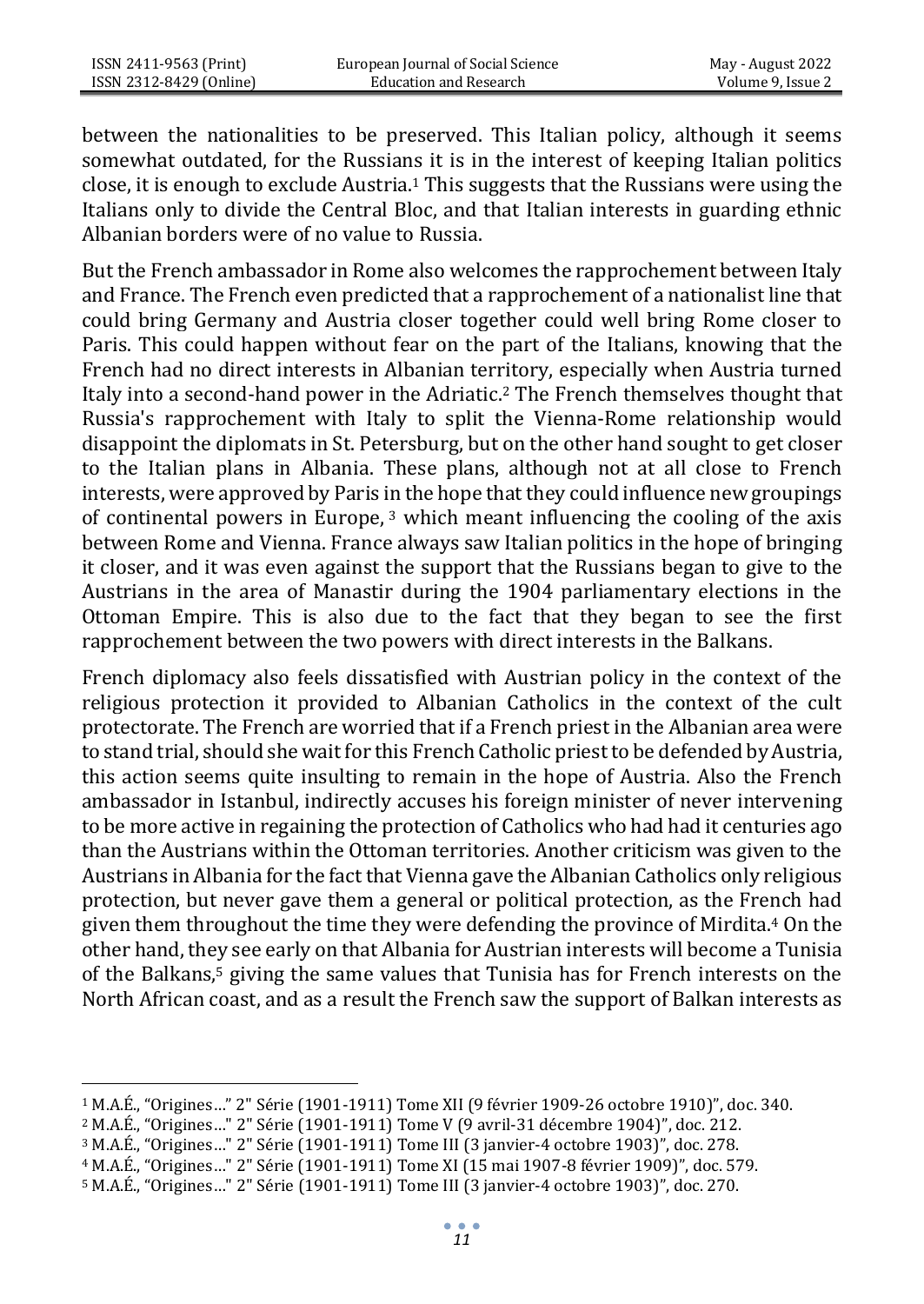between the nationalities to be preserved. This Italian policy, although it seems somewhat outdated, for the Russians it is in the interest of keeping Italian politics close, it is enough to exclude Austria.<sup>1</sup> This suggests that the Russians were using the Italians only to divide the Central Bloc, and that Italian interests in guarding ethnic Albanian borders were of no value to Russia.

But the French ambassador in Rome also welcomes the rapprochement between Italy and France. The French even predicted that a rapprochement of a nationalist line that could bring Germany and Austria closer together could well bring Rome closer to Paris. This could happen without fear on the part of the Italians, knowing that the French had no direct interests in Albanian territory, especially when Austria turned Italy into a second-hand power in the Adriatic.<sup>2</sup> The French themselves thought that Russia's rapprochement with Italy to split the Vienna-Rome relationship would disappoint the diplomats in St. Petersburg, but on the other hand sought to get closer to the Italian plans in Albania. These plans, although not at all close to French interests, were approved by Paris in the hope that they could influence new groupings of continental powers in Europe,  $3$  which meant influencing the cooling of the axis between Rome and Vienna. France always saw Italian politics in the hope of bringing it closer, and it was even against the support that the Russians began to give to the Austrians in the area of Manastir during the 1904 parliamentary elections in the Ottoman Empire. This is also due to the fact that they began to see the first rapprochement between the two powers with direct interests in the Balkans.

French diplomacy also feels dissatisfied with Austrian policy in the context of the religious protection it provided to Albanian Catholics in the context of the cult protectorate. The French are worried that if a French priest in the Albanian area were to stand trial, should she wait for this French Catholic priest to be defended by Austria, this action seems quite insulting to remain in the hope of Austria. Also the French ambassador in Istanbul, indirectly accuses his foreign minister of never intervening to be more active in regaining the protection of Catholics who had had it centuries ago than the Austrians within the Ottoman territories. Another criticism was given to the Austrians in Albania for the fact that Vienna gave the Albanian Catholics only religious protection, but never gave them a general or political protection, as the French had given them throughout the time they were defending the province of Mirdita.<sup>4</sup> On the other hand, they see early on that Albania for Austrian interests will become a Tunisia of the Balkans,<sup>5</sup> giving the same values that Tunisia has for French interests on the North African coast, and as a result the French saw the support of Balkan interests as

<sup>1</sup> M.A.É., "Origines…" 2" Série (1901-1911) Tome XII [\(9 février 1909-26 octobre 1910\)](https://bibliotheque-numerique.diplomatie.gouv.fr/ark%3A/12148/bpt6k6442306d?rk=193134%3B0)", doc. 340.

<sup>2</sup> M.A.É., "Origines…" 2" Série (1901-1911) Tome [V \(9 avril-31 décembre 1904\)](https://bibliotheque-numerique.diplomatie.gouv.fr/ark%3A/12148/bpt6k6462682c?rk=321890%3B0)", doc. 212.

<sup>3</sup> M.A.É., "Origines…" 2" Série (1901-1911) Tome II[I \(3 janvier-4 octobre 1903\)](https://bibliotheque-numerique.diplomatie.gouv.fr/ark%3A/12148/bpt6k55866826?rk=278971%3B2)", doc. 278.

<sup>4</sup> M.A.É., "Origines…" 2" Série (1901-1911) Tome X[I \(15 mai 1907-8 février 1909\)](https://bibliotheque-numerique.diplomatie.gouv.fr/ark%3A/12148/bpt6k55869523?rk=171674%3B4)", doc. 579.

<sup>5</sup> M.A.É., "Origines…" 2" Série (1901-1911) Tome II[I \(3 janvier-4 octobre 1903\)](https://bibliotheque-numerique.diplomatie.gouv.fr/ark%3A/12148/bpt6k55866826?rk=278971%3B2)", doc. 270.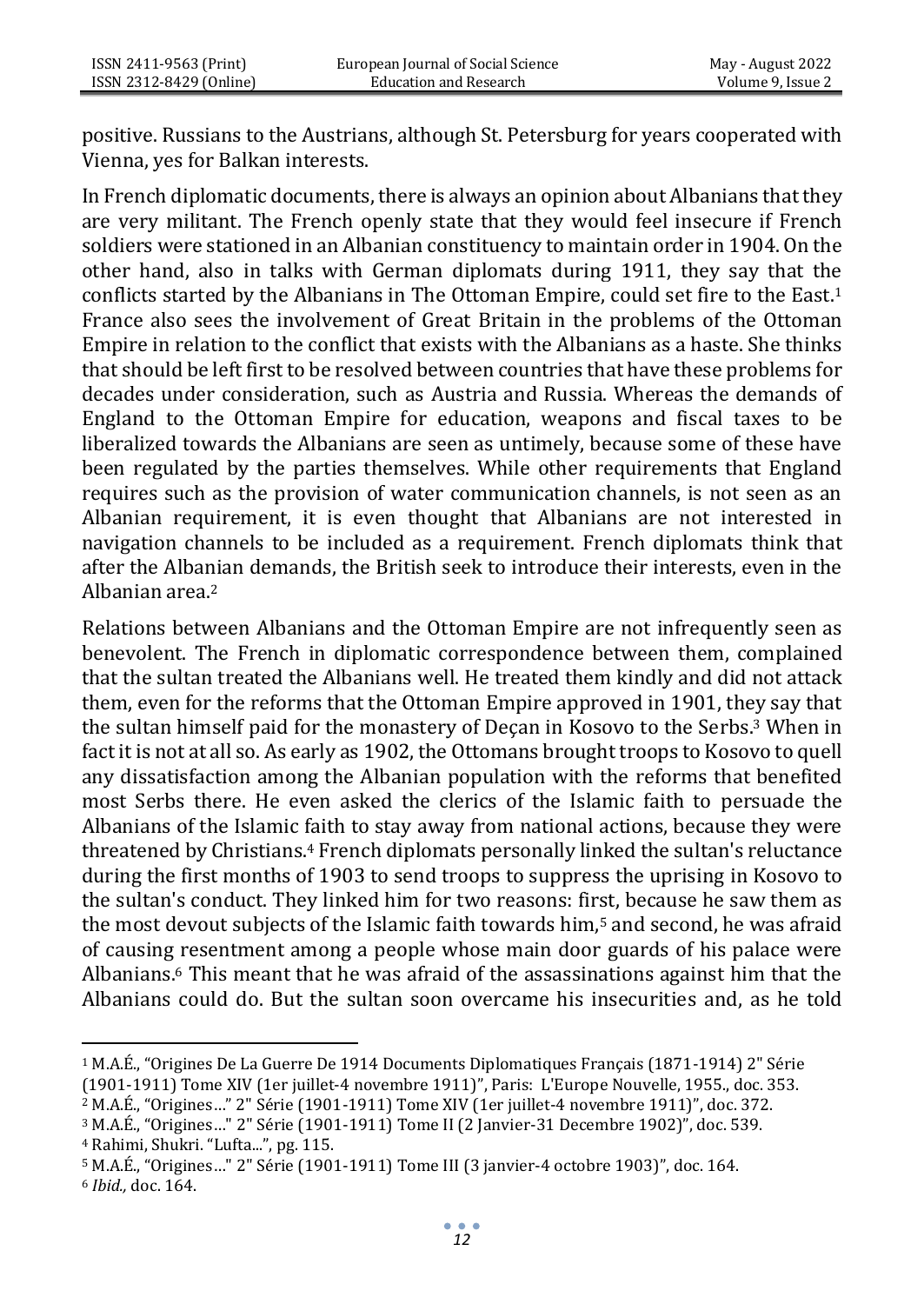positive. Russians to the Austrians, although St. Petersburg for years cooperated with Vienna, yes for Balkan interests.

In French diplomatic documents, there is always an opinion about Albanians that they are very militant. The French openly state that they would feel insecure if French soldiers were stationed in an Albanian constituency to maintain order in 1904. On the other hand, also in talks with German diplomats during 1911, they say that the conflicts started by the Albanians in The Ottoman Empire, could set fire to the East.<sup>1</sup> France also sees the involvement of Great Britain in the problems of the Ottoman Empire in relation to the conflict that exists with the Albanians as a haste. She thinks that should be left first to be resolved between countries that have these problems for decades under consideration, such as Austria and Russia. Whereas the demands of England to the Ottoman Empire for education, weapons and fiscal taxes to be liberalized towards the Albanians are seen as untimely, because some of these have been regulated by the parties themselves. While other requirements that England requires such as the provision of water communication channels, is not seen as an Albanian requirement, it is even thought that Albanians are not interested in navigation channels to be included as a requirement. French diplomats think that after the Albanian demands, the British seek to introduce their interests, even in the Albanian area.<sup>2</sup>

Relations between Albanians and the Ottoman Empire are not infrequently seen as benevolent. The French in diplomatic correspondence between them, complained that the sultan treated the Albanians well. He treated them kindly and did not attack them, even for the reforms that the Ottoman Empire approved in 1901, they say that the sultan himself paid for the monastery of Deçan in Kosovo to the Serbs.<sup>3</sup> When in fact it is not at all so. As early as 1902, the Ottomans brought troops to Kosovo to quell any dissatisfaction among the Albanian population with the reforms that benefited most Serbs there. He even asked the clerics of the Islamic faith to persuade the Albanians of the Islamic faith to stay away from national actions, because they were threatened by Christians.<sup>4</sup> French diplomats personally linked the sultan's reluctance during the first months of 1903 to send troops to suppress the uprising in Kosovo to the sultan's conduct. They linked him for two reasons: first, because he saw them as the most devout subjects of the Islamic faith towards him,<sup>5</sup> and second, he was afraid of causing resentment among a people whose main door guards of his palace were Albanians.<sup>6</sup> This meant that he was afraid of the assassinations against him that the Albanians could do. But the sultan soon overcame his insecurities and, as he told

<sup>1</sup> M.A.É., "Origines De La Guerre De 1914 Documents Diplomatiques Français (1871-1914) 2" Série

<sup>(1901-1911)</sup> Tome XI[V \(1er juillet-4 novembre 1911\)](https://bibliotheque-numerique.diplomatie.gouv.fr/ark%3A/12148/bpt6k64751497?rk=236052%3B4)", Paris: L'Europe Nouvelle, 1955., doc. 353.

<sup>2</sup> M.A.É., "Origines…" 2" Série (1901-1911) Tome XI[V \(1er juillet-4 novembre 1911\)](https://bibliotheque-numerique.diplomatie.gouv.fr/ark%3A/12148/bpt6k64751497?rk=236052%3B4)", doc. 372.

<sup>3</sup> M.A.É., "Origines…" 2" Série (1901-1911) Tome II (2 Janvier-31 Decembre 1902)", doc. 539.

<sup>4</sup> Rahimi, Shukri. "Lufta...", pg. 115.

<sup>5</sup> M.A.É., "Origines…" 2" Série (1901-1911) Tome II[I \(3 janvier-4 octobre 1903\)](https://bibliotheque-numerique.diplomatie.gouv.fr/ark%3A/12148/bpt6k55866826?rk=278971%3B2)", doc. 164.

<sup>6</sup> *Ibid.,* doc. 164.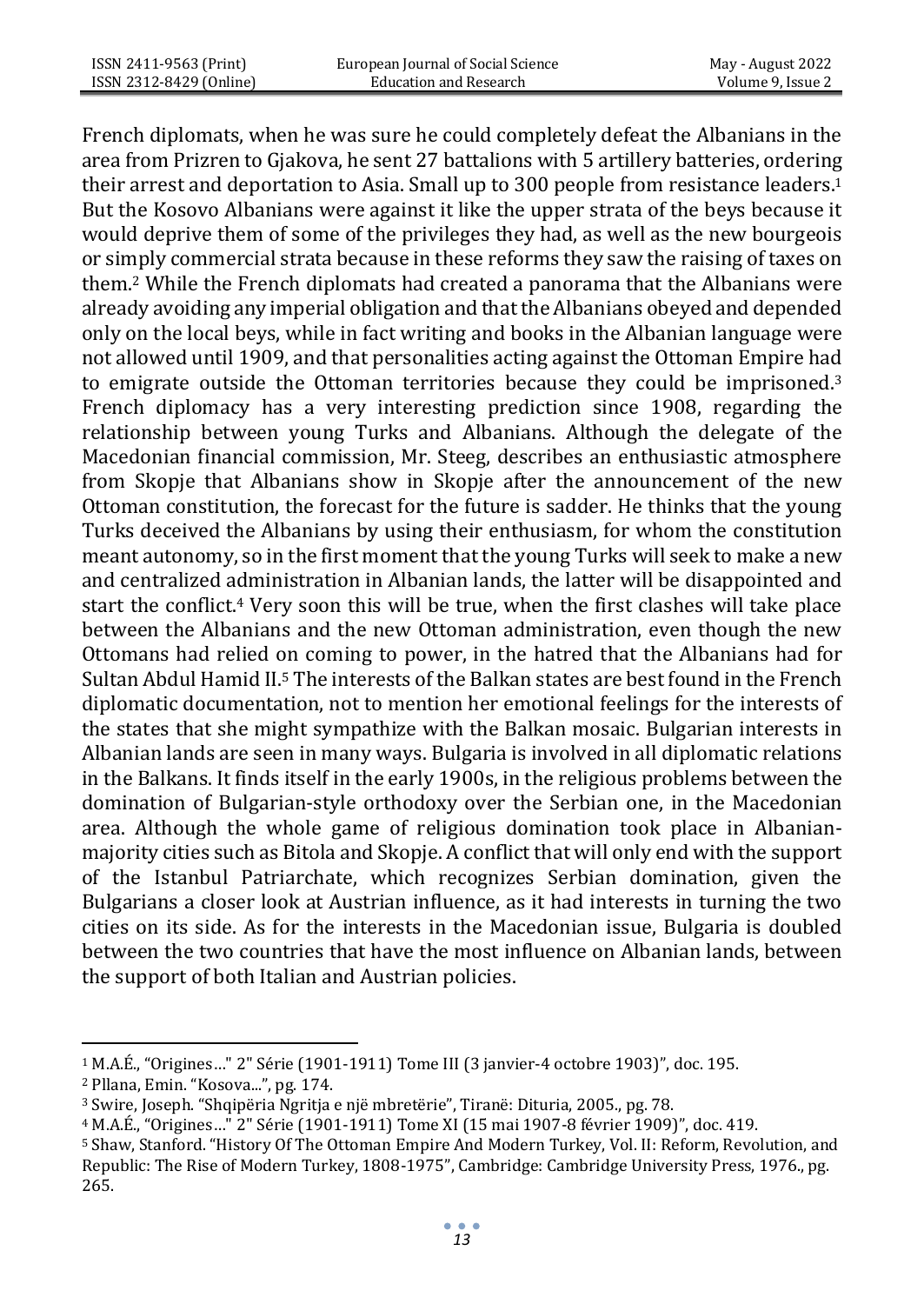French diplomats, when he was sure he could completely defeat the Albanians in the area from Prizren to Gjakova, he sent 27 battalions with 5 artillery batteries, ordering their arrest and deportation to Asia. Small up to 300 people from resistance leaders.<sup>1</sup> But the Kosovo Albanians were against it like the upper strata of the beys because it would deprive them of some of the privileges they had, as well as the new bourgeois or simply commercial strata because in these reforms they saw the raising of taxes on them.<sup>2</sup> While the French diplomats had created a panorama that the Albanians were already avoiding any imperial obligation and that the Albanians obeyed and depended only on the local beys, while in fact writing and books in the Albanian language were not allowed until 1909, and that personalities acting against the Ottoman Empire had to emigrate outside the Ottoman territories because they could be imprisoned.<sup>3</sup> French diplomacy has a very interesting prediction since 1908, regarding the relationship between young Turks and Albanians. Although the delegate of the Macedonian financial commission, Mr. Steeg, describes an enthusiastic atmosphere from Skopje that Albanians show in Skopje after the announcement of the new Ottoman constitution, the forecast for the future is sadder. He thinks that the young Turks deceived the Albanians by using their enthusiasm, for whom the constitution meant autonomy, so in the first moment that the young Turks will seek to make a new and centralized administration in Albanian lands, the latter will be disappointed and start the conflict.<sup>4</sup> Very soon this will be true, when the first clashes will take place between the Albanians and the new Ottoman administration, even though the new Ottomans had relied on coming to power, in the hatred that the Albanians had for Sultan Abdul Hamid II.<sup>5</sup> The interests of the Balkan states are best found in the French diplomatic documentation, not to mention her emotional feelings for the interests of the states that she might sympathize with the Balkan mosaic. Bulgarian interests in Albanian lands are seen in many ways. Bulgaria is involved in all diplomatic relations in the Balkans. It finds itself in the early 1900s, in the religious problems between the domination of Bulgarian-style orthodoxy over the Serbian one, in the Macedonian area. Although the whole game of religious domination took place in Albanianmajority cities such as Bitola and Skopje. A conflict that will only end with the support of the Istanbul Patriarchate, which recognizes Serbian domination, given the Bulgarians a closer look at Austrian influence, as it had interests in turning the two cities on its side. As for the interests in the Macedonian issue, Bulgaria is doubled between the two countries that have the most influence on Albanian lands, between the support of both Italian and Austrian policies.

<sup>1</sup> M.A.É., "Origines…" 2" Série (1901-1911) Tome II[I \(3 janvier-4 octobre 1903\)](https://bibliotheque-numerique.diplomatie.gouv.fr/ark%3A/12148/bpt6k55866826?rk=278971%3B2)", doc. 195.

<sup>2</sup> Pllana, Emin. "Kosova...", pg. 174.

<sup>&</sup>lt;sup>3</sup> Swire, Joseph. "Shqipëria Ngritja e një mbretërie", Tiranë: Dituria, 2005., pg. 78.

<sup>4</sup> M.A.É., "Origines…" 2" Série (1901-1911) Tome X[I \(15 mai 1907-8 février 1909\)](https://bibliotheque-numerique.diplomatie.gouv.fr/ark%3A/12148/bpt6k55869523?rk=171674%3B4)", doc. 419.

<sup>5</sup> Shaw, Stanford. "History Of The Ottoman Empire And Modern Turkey, Vol. II: Reform, Revolution, and Republic: The Rise of Modern Turkey, 1808-1975", Cambridge: Cambridge University Press, 1976., pg. 265.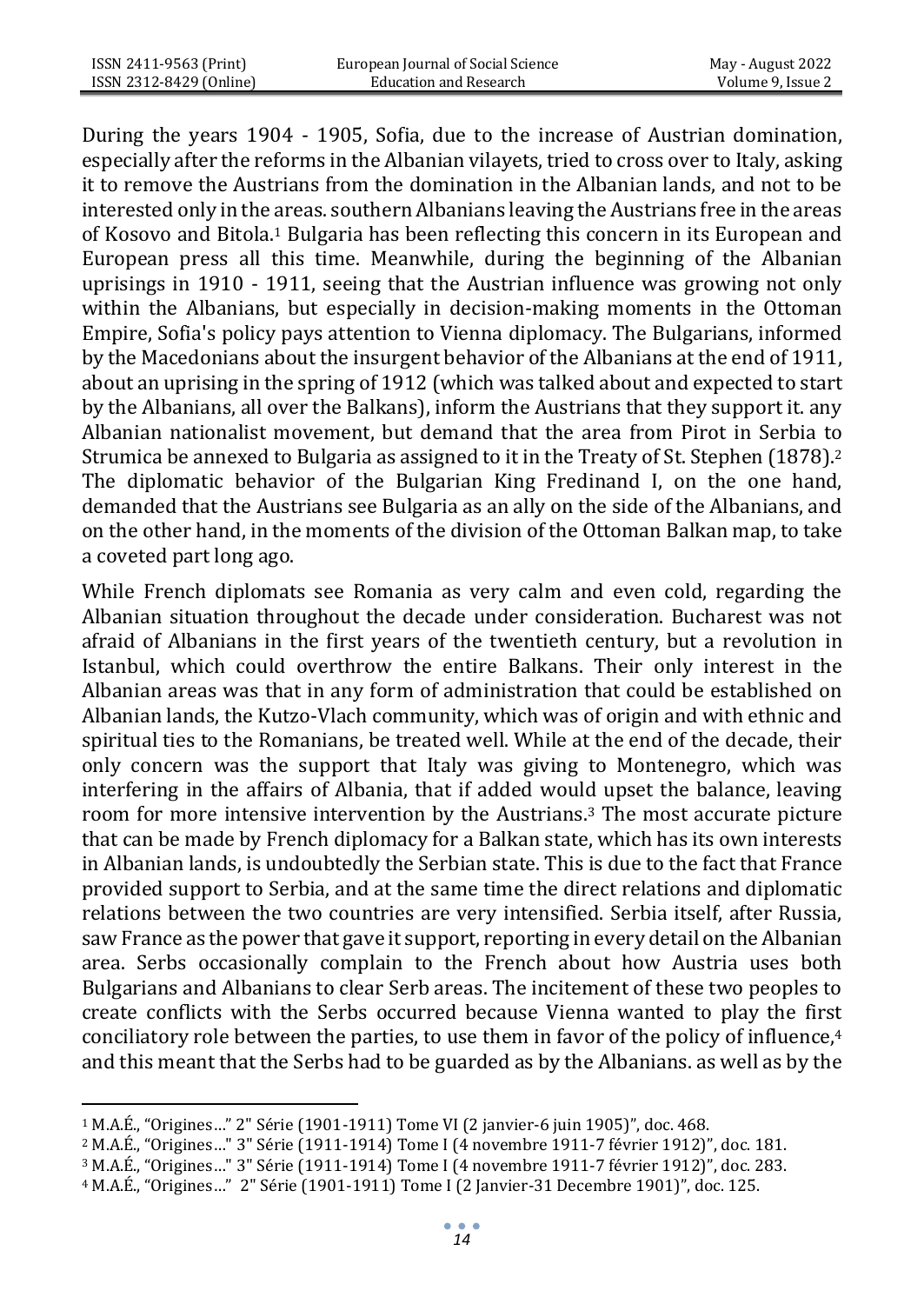During the years 1904 - 1905, Sofia, due to the increase of Austrian domination, especially after the reforms in the Albanian vilayets, tried to cross over to Italy, asking it to remove the Austrians from the domination in the Albanian lands, and not to be interested only in the areas. southern Albanians leaving the Austrians free in the areas of Kosovo and Bitola.<sup>1</sup> Bulgaria has been reflecting this concern in its European and European press all this time. Meanwhile, during the beginning of the Albanian uprisings in 1910 - 1911, seeing that the Austrian influence was growing not only within the Albanians, but especially in decision-making moments in the Ottoman Empire, Sofia's policy pays attention to Vienna diplomacy. The Bulgarians, informed by the Macedonians about the insurgent behavior of the Albanians at the end of 1911, about an uprising in the spring of 1912 (which was talked about and expected to start by the Albanians, all over the Balkans), inform the Austrians that they support it. any Albanian nationalist movement, but demand that the area from Pirot in Serbia to Strumica be annexed to Bulgaria as assigned to it in the Treaty of St. Stephen (1878).<sup>2</sup> The diplomatic behavior of the Bulgarian King Fredinand I, on the one hand, demanded that the Austrians see Bulgaria as an ally on the side of the Albanians, and on the other hand, in the moments of the division of the Ottoman Balkan map, to take a coveted part long ago.

While French diplomats see Romania as very calm and even cold, regarding the Albanian situation throughout the decade under consideration. Bucharest was not afraid of Albanians in the first years of the twentieth century, but a revolution in Istanbul, which could overthrow the entire Balkans. Their only interest in the Albanian areas was that in any form of administration that could be established on Albanian lands, the Kutzo-Vlach community, which was of origin and with ethnic and spiritual ties to the Romanians, be treated well. While at the end of the decade, their only concern was the support that Italy was giving to Montenegro, which was interfering in the affairs of Albania, that if added would upset the balance, leaving room for more intensive intervention by the Austrians.<sup>3</sup> The most accurate picture that can be made by French diplomacy for a Balkan state, which has its own interests in Albanian lands, is undoubtedly the Serbian state. This is due to the fact that France provided support to Serbia, and at the same time the direct relations and diplomatic relations between the two countries are very intensified. Serbia itself, after Russia, saw France as the power that gave it support, reporting in every detail on the Albanian area. Serbs occasionally complain to the French about how Austria uses both Bulgarians and Albanians to clear Serb areas. The incitement of these two peoples to create conflicts with the Serbs occurred because Vienna wanted to play the first conciliatory role between the parties, to use them in favor of the policy of influence, $4$ and this meant that the Serbs had to be guarded as by the Albanians. as well as by the

<sup>1</sup> M.A.É., "Origines…" 2" Série (1901-1911) Tome V[I \(2 janvier-6 juin 1905\)](https://bibliotheque-numerique.diplomatie.gouv.fr/ark%3A/12148/bpt6k65674545?rk=343349%3B2)", doc. 468.

<sup>2</sup> M.A.É., "Origines…" 3" Série (1911-1914) Tome [I \(4 novembre 1911-7 février 1912\)](https://bibliotheque-numerique.diplomatie.gouv.fr/ark%3A/12148/bpt6k64626898?rk=278971%3B2)", doc. 181.

<sup>3</sup> M.A.É., "Origines…" 3" Série (1911-1914) Tome [I \(4 novembre 1911-7 février 1912\)](https://bibliotheque-numerique.diplomatie.gouv.fr/ark%3A/12148/bpt6k64626898?rk=278971%3B2)", doc. 283.

<sup>4</sup> M.A.É., "Origines…" 2" Série (1901-1911) Tome I (2 Janvier-31 Decembre 1901)", doc. 125.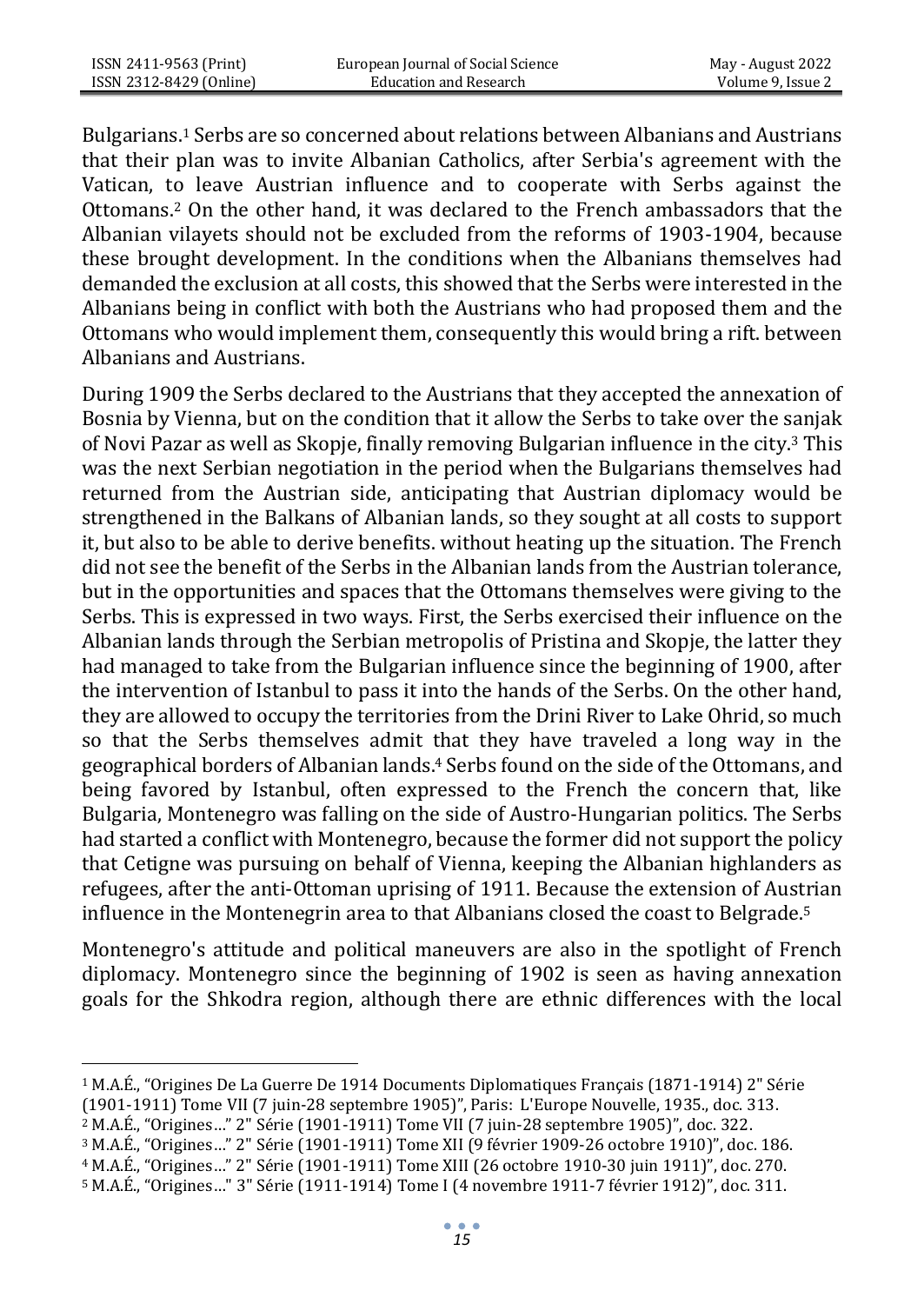Bulgarians.<sup>1</sup> Serbs are so concerned about relations between Albanians and Austrians that their plan was to invite Albanian Catholics, after Serbia's agreement with the Vatican, to leave Austrian influence and to cooperate with Serbs against the Ottomans.<sup>2</sup> On the other hand, it was declared to the French ambassadors that the Albanian vilayets should not be excluded from the reforms of 1903-1904, because these brought development. In the conditions when the Albanians themselves had demanded the exclusion at all costs, this showed that the Serbs were interested in the Albanians being in conflict with both the Austrians who had proposed them and the Ottomans who would implement them, consequently this would bring a rift. between Albanians and Austrians.

During 1909 the Serbs declared to the Austrians that they accepted the annexation of Bosnia by Vienna, but on the condition that it allow the Serbs to take over the sanjak of Novi Pazar as well as Skopje, finally removing Bulgarian influence in the city.<sup>3</sup> This was the next Serbian negotiation in the period when the Bulgarians themselves had returned from the Austrian side, anticipating that Austrian diplomacy would be strengthened in the Balkans of Albanian lands, so they sought at all costs to support it, but also to be able to derive benefits. without heating up the situation. The French did not see the benefit of the Serbs in the Albanian lands from the Austrian tolerance, but in the opportunities and spaces that the Ottomans themselves were giving to the Serbs. This is expressed in two ways. First, the Serbs exercised their influence on the Albanian lands through the Serbian metropolis of Pristina and Skopje, the latter they had managed to take from the Bulgarian influence since the beginning of 1900, after the intervention of Istanbul to pass it into the hands of the Serbs. On the other hand, they are allowed to occupy the territories from the Drini River to Lake Ohrid, so much so that the Serbs themselves admit that they have traveled a long way in the geographical borders of Albanian lands.<sup>4</sup> Serbs found on the side of the Ottomans, and being favored by Istanbul, often expressed to the French the concern that, like Bulgaria, Montenegro was falling on the side of Austro-Hungarian politics. The Serbs had started a conflict with Montenegro, because the former did not support the policy that Cetigne was pursuing on behalf of Vienna, keeping the Albanian highlanders as refugees, after the anti-Ottoman uprising of 1911. Because the extension of Austrian influence in the Montenegrin area to that Albanians closed the coast to Belgrade.<sup>5</sup>

Montenegro's attitude and political maneuvers are also in the spotlight of French diplomacy. Montenegro since the beginning of 1902 is seen as having annexation goals for the Shkodra region, although there are ethnic differences with the local

<sup>4</sup> M.A.É., "Origines…" 2" Série (1901-1911) Tome XII[I \(26 octobre 1910-30 juin 1911\)](https://bibliotheque-numerique.diplomatie.gouv.fr/ark%3A/12148/bpt6k64599117?rk=214593%3B2)", doc. 270.

<sup>1</sup> M.A.É., "Origines De La Guerre De 1914 Documents Diplomatiques Français (1871-1914) 2" Série

<sup>(1901-1911)</sup> Tome VI[I \(7 juin-28 septembre 1905\)](https://bibliotheque-numerique.diplomatie.gouv.fr/ark%3A/12148/bpt6k64597972?rk=364808%3B4)", Paris: L'Europe Nouvelle, 1935., doc. 313.

<sup>2</sup> M.A.É., "Origines…" 2" Série (1901-1911) Tome VI[I \(7 juin-28 septembre 1905\)](https://bibliotheque-numerique.diplomatie.gouv.fr/ark%3A/12148/bpt6k64597972?rk=364808%3B4)", doc. 322.

<sup>3</sup> M.A.É., "Origines…" 2" Série (1901-1911) Tome XII [\(9 février 1909-26 octobre 1910\)](https://bibliotheque-numerique.diplomatie.gouv.fr/ark%3A/12148/bpt6k6442306d?rk=193134%3B0)", doc. 186.

<sup>5</sup> M.A.É., "Origines…" 3" Série (1911-1914) Tome [I \(4 novembre 1911-7 février 1912\)](https://bibliotheque-numerique.diplomatie.gouv.fr/ark%3A/12148/bpt6k64626898?rk=278971%3B2)", doc. 311.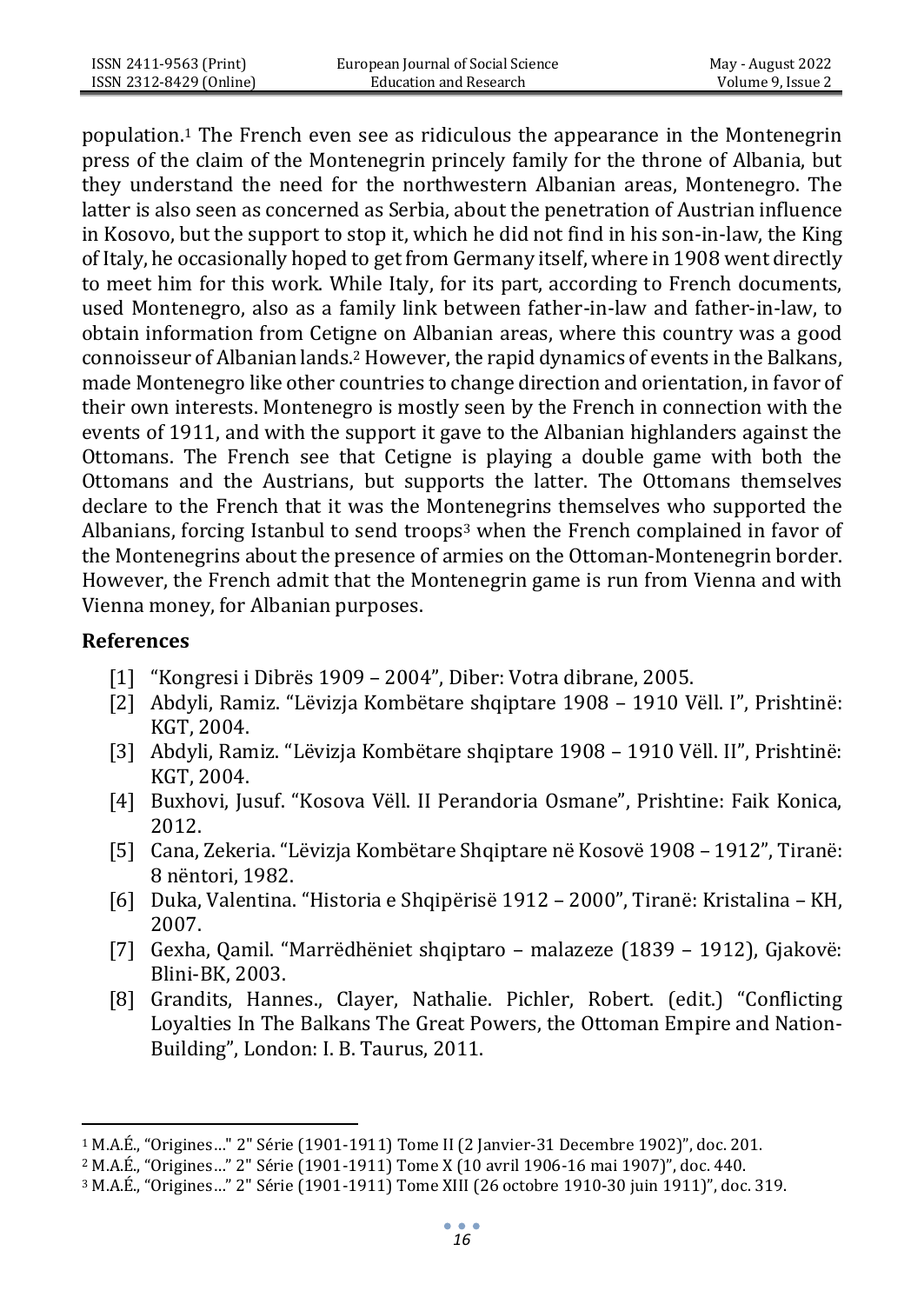population.<sup>1</sup> The French even see as ridiculous the appearance in the Montenegrin press of the claim of the Montenegrin princely family for the throne of Albania, but they understand the need for the northwestern Albanian areas, Montenegro. The latter is also seen as concerned as Serbia, about the penetration of Austrian influence in Kosovo, but the support to stop it, which he did not find in his son-in-law, the King of Italy, he occasionally hoped to get from Germany itself, where in 1908 went directly to meet him for this work. While Italy, for its part, according to French documents, used Montenegro, also as a family link between father-in-law and father-in-law, to obtain information from Cetigne on Albanian areas, where this country was a good connoisseur of Albanian lands.<sup>2</sup> However, the rapid dynamics of events in the Balkans, made Montenegro like other countries to change direction and orientation, in favor of their own interests. Montenegro is mostly seen by the French in connection with the events of 1911, and with the support it gave to the Albanian highlanders against the Ottomans. The French see that Cetigne is playing a double game with both the Ottomans and the Austrians, but supports the latter. The Ottomans themselves declare to the French that it was the Montenegrins themselves who supported the Albanians, forcing Istanbul to send troops<sup>3</sup> when the French complained in favor of the Montenegrins about the presence of armies on the Ottoman-Montenegrin border. However, the French admit that the Montenegrin game is run from Vienna and with Vienna money, for Albanian purposes.

### **References**

- [1] "Kongresi i Dibrës 1909 2004", Diber: Votra dibrane, 2005.
- [2] Abdyli, Ramiz. "Lëvizja Kombëtare shqiptare 1908 1910 Vëll. I", Prishtinë: KGT, 2004.
- [3] Abdyli, Ramiz. "Lëvizja Kombëtare shqiptare 1908 1910 Vëll. II", Prishtinë: KGT, 2004.
- [4] Buxhovi, Jusuf. "Kosova Vëll. II Perandoria Osmane", Prishtine: Faik Konica, 2012.
- [5] Cana, Zekeria. "Lëvizja Kombëtare Shqiptare në Kosovë 1908 1912", Tiranë: 8 nëntori, 1982.
- [6] Duka, Valentina. "Historia e Shqipërisë 1912 2000", Tiranë: Kristalina KH, 2007.
- [7] Gexha, Qamil. "Marrëdhëniet shqiptaro malazeze (1839 1912), Gjakovë: Blini-BK, 2003.
- [8] Grandits, Hannes., Clayer, Nathalie. Pichler, Robert. (edit.) "Conflicting Loyalties In The Balkans The Great Powers, the Ottoman Empire and Nation-Building", London: I. B. Taurus, 2011.

<sup>1</sup> M.A.É., "Origines…" 2" Série (1901-1911) Tome II (2 Janvier-31 Decembre 1902)", doc. 201.

<sup>2</sup> M.A.É., "Origines…" 2" Série (1901-1911) Tome [X \(10 avril 1906-16 mai 1907\)](https://bibliotheque-numerique.diplomatie.gouv.fr/ark%3A/12148/bpt6k6459921m?rk=150215%3B2)", doc. 440.

<sup>3</sup> M.A.É., "Origines…" 2" Série (1901-1911) Tome XII[I \(26 octobre 1910-30 juin 1911\)](https://bibliotheque-numerique.diplomatie.gouv.fr/ark%3A/12148/bpt6k64599117?rk=214593%3B2)", doc. 319.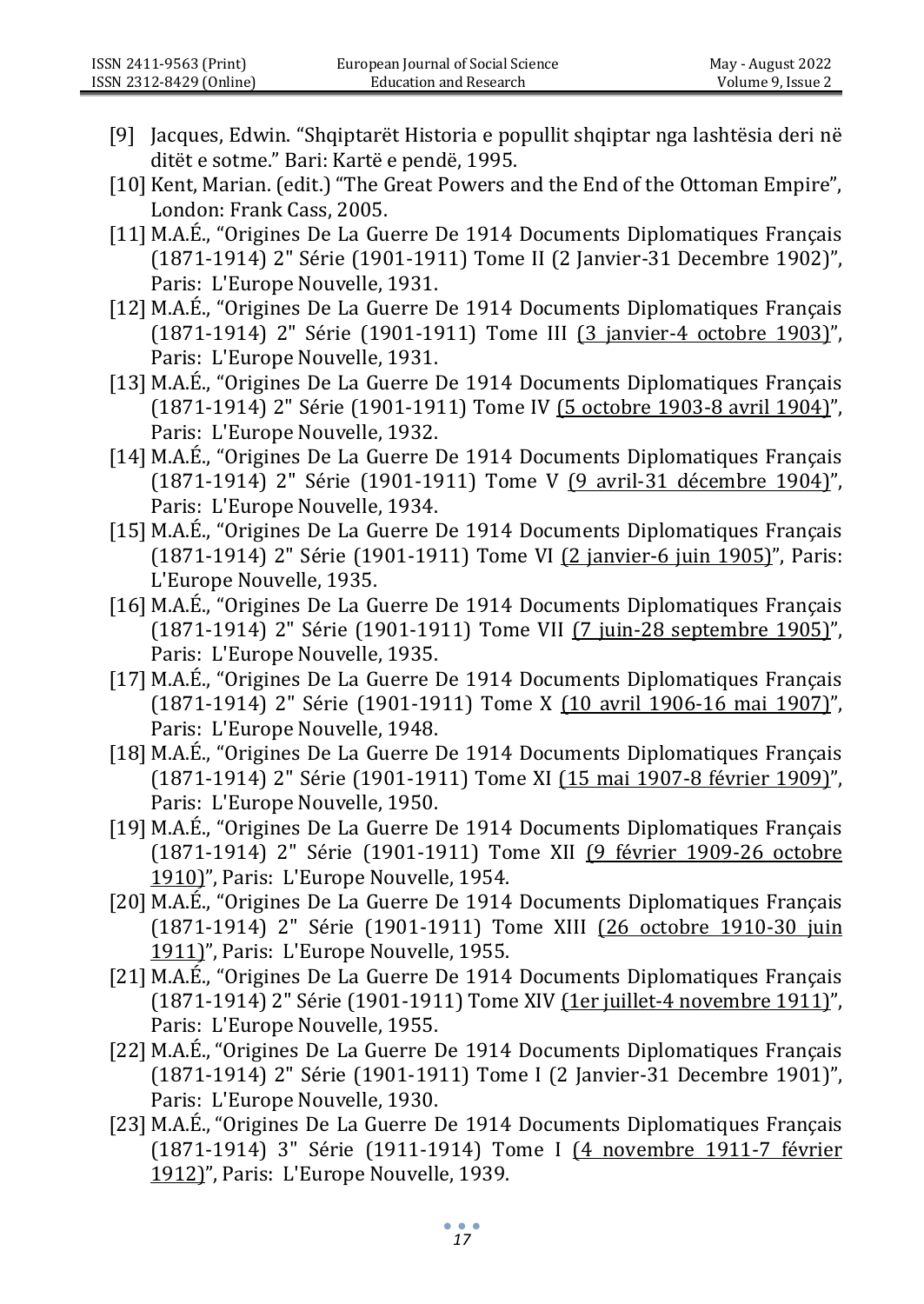- [9] Jacques, Edwin. "Shqiptarët Historia e popullit shqiptar nga lashtësia deri në ditët e sotme." Bari: Kartë e pendë, 1995.
- [10] Kent, Marian. (edit.) "The Great Powers and the End of the Ottoman Empire", London: Frank Cass, 2005.
- [11] M.A.É., "Origines De La Guerre De 1914 Documents Diplomatiques Français (1871-1914) 2" Série (1901-1911) Tome II (2 Janvier-31 Decembre 1902)", Paris: L'Europe Nouvelle, 1931.
- [12] M.A.É., "Origines De La Guerre De 1914 Documents Diplomatiques Français (1871-1914) 2" Série (1901-1911) Tome III [\(3 janvier-4 octobre 1903\)](https://bibliotheque-numerique.diplomatie.gouv.fr/ark%3A/12148/bpt6k55866826?rk=278971%3B2)", Paris: L'Europe Nouvelle, 1931.
- [13] M.A.É., "Origines De La Guerre De 1914 Documents Diplomatiques Français (1871-1914) 2" Série (1901-1911) Tome IV [\(5 octobre 1903-8 avril 1904\)](https://bibliotheque-numerique.diplomatie.gouv.fr/ark%3A/12148/bpt6k64434314?rk=300430%3B4)", Paris: L'Europe Nouvelle, 1932.
- [14] M.A.É., "Origines De La Guerre De 1914 Documents Diplomatiques Français (1871-1914) 2" Série (1901-1911) Tome V [\(9 avril-31 décembre 1904\)](https://bibliotheque-numerique.diplomatie.gouv.fr/ark%3A/12148/bpt6k6462682c?rk=321890%3B0)", Paris: L'Europe Nouvelle, 1934.
- [15] M.A.É., "Origines De La Guerre De 1914 Documents Diplomatiques Français (1871-1914) 2" Série (1901-1911) Tome VI [\(2 janvier-6 juin 1905\)](https://bibliotheque-numerique.diplomatie.gouv.fr/ark%3A/12148/bpt6k65674545?rk=343349%3B2)", Paris: L'Europe Nouvelle, 1935.
- [16] M.A.É., "Origines De La Guerre De 1914 Documents Diplomatiques Français (1871-1914) 2" Série (1901-1911) Tome VII [\(7 juin-28 septembre 1905\)](https://bibliotheque-numerique.diplomatie.gouv.fr/ark%3A/12148/bpt6k64597972?rk=364808%3B4)", Paris: L'Europe Nouvelle, 1935.
- [17] M.A.É., "Origines De La Guerre De 1914 Documents Diplomatiques Français (1871-1914) 2" Série (1901-1911) Tome X [\(10 avril 1906-16 mai 1907\)](https://bibliotheque-numerique.diplomatie.gouv.fr/ark%3A/12148/bpt6k6459921m?rk=150215%3B2)", Paris: L'Europe Nouvelle, 1948.
- [18] M.A.É., "Origines De La Guerre De 1914 Documents Diplomatiques Français (1871-1914) 2" Série (1901-1911) Tome XI [\(15 mai 1907-8 février 1909\)](https://bibliotheque-numerique.diplomatie.gouv.fr/ark%3A/12148/bpt6k55869523?rk=171674%3B4)", Paris: L'Europe Nouvelle, 1950.
- [19] M.A.É., "Origines De La Guerre De 1914 Documents Diplomatiques Français (1871-1914) 2" Série (1901-1911) Tome XII [\(9 février 1909-26 octobre](https://bibliotheque-numerique.diplomatie.gouv.fr/ark%3A/12148/bpt6k6442306d?rk=193134%3B0)  [1910\)](https://bibliotheque-numerique.diplomatie.gouv.fr/ark%3A/12148/bpt6k6442306d?rk=193134%3B0)", Paris: L'Europe Nouvelle, 1954.
- [20] M.A.É., "Origines De La Guerre De 1914 Documents Diplomatiques Français (1871-1914) 2" Série (1901-1911) Tome XIII [\(26 octobre 1910-30 juin](https://bibliotheque-numerique.diplomatie.gouv.fr/ark%3A/12148/bpt6k64599117?rk=214593%3B2)  [1911\)](https://bibliotheque-numerique.diplomatie.gouv.fr/ark%3A/12148/bpt6k64599117?rk=214593%3B2)", Paris: L'Europe Nouvelle, 1955.
- [21] M.A.É., "Origines De La Guerre De 1914 Documents Diplomatiques Français (1871-1914) 2" Série (1901-1911) Tome XIV [\(1er juillet-4 novembre 1911\)](https://bibliotheque-numerique.diplomatie.gouv.fr/ark%3A/12148/bpt6k64751497?rk=236052%3B4)", Paris: L'Europe Nouvelle, 1955.
- [22] M.A.É., "Origines De La Guerre De 1914 Documents Diplomatiques Français (1871-1914) 2" Série (1901-1911) Tome I (2 Janvier-31 Decembre 1901)", Paris: L'Europe Nouvelle, 1930.
- [23] M.A.É., "Origines De La Guerre De 1914 Documents Diplomatiques Français (1871-1914) 3" Série (1911-1914) Tome I [\(4 novembre 1911-7 février](https://bibliotheque-numerique.diplomatie.gouv.fr/ark%3A/12148/bpt6k64626898?rk=278971%3B2)  [1912\)](https://bibliotheque-numerique.diplomatie.gouv.fr/ark%3A/12148/bpt6k64626898?rk=278971%3B2)", Paris: L'Europe Nouvelle, 1939.